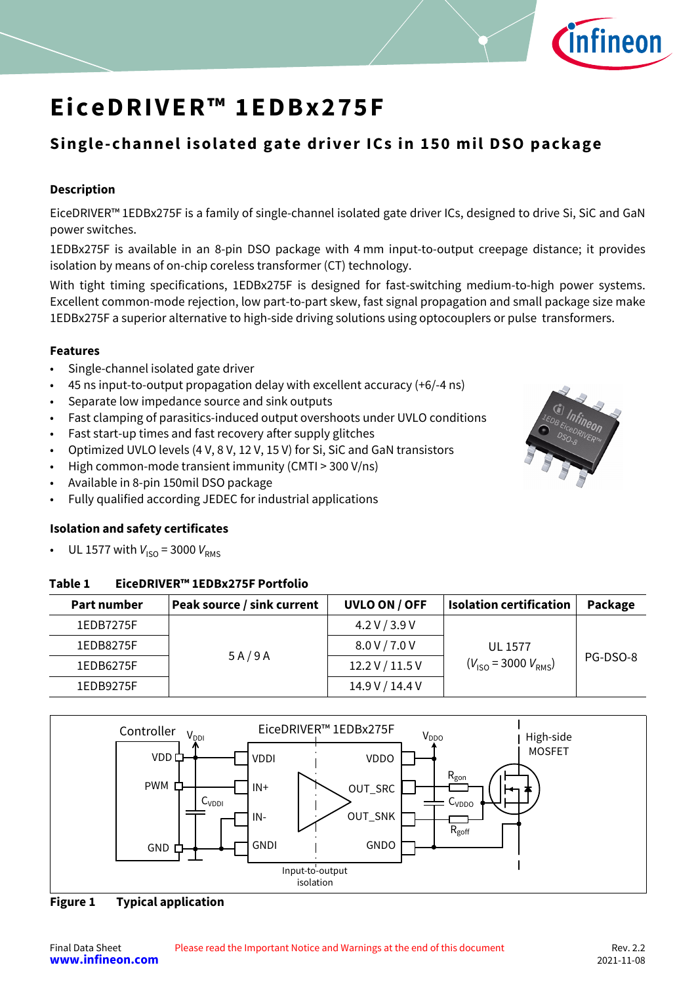

### **Single-channel isolated gate driver ICs in 150 mil DSO package**

#### **Description**

EiceDRIVER™ 1EDBx275F is a family of single-channel isolated gate driver ICs, designed to drive Si, SiC and GaN power switches.

1EDBx275F is available in an 8-pin DSO package with 4 mm input-to-output creepage distance; it provides isolation by means of on-chip coreless transformer (CT) technology.

With tight timing specifications, 1EDBx275F is designed for fast-switching medium-to-high power systems. Excellent common-mode rejection, low part-to-part skew, fast signal propagation and small package size make 1EDBx275F a superior alternative to high-side driving solutions using optocouplers or pulse transformers.

#### **Features**

- Single-channel isolated gate driver
- 45 ns input-to-output propagation delay with excellent accuracy (+6/-4 ns)
- Separate low impedance source and sink outputs
- Fast clamping of parasitics-induced output overshoots under UVLO conditions
- Fast start-up times and fast recovery after supply glitches
- Optimized UVLO levels (4 V, 8 V, 12 V, 15 V) for Si, SiC and GaN transistors
- High common-mode transient immunity (CMTI > 300 V/ns)
- Available in 8-pin 150mil DSO package
- Fully qualified according JEDEC for industrial applications

#### **Isolation and safety certificates**

UL 1577 with  $V_{\text{ISO}} = 3000 V_{\text{RMS}}$ 

#### <span id="page-0-0"></span>**Table 1 EiceDRIVER™ 1EDBx275F Portfolio**

| Part number | Peak source / sink current | UVLO ON / OFF   | <b>Isolation certification</b>     | Package  |
|-------------|----------------------------|-----------------|------------------------------------|----------|
| 1EDB7275F   |                            | 4.2 V / 3.9 V   |                                    |          |
| 1EDB8275F   | 5A/9A                      | 8.0 V / 7.0 V   | <b>UL 1577</b>                     |          |
| 1EDB6275F   |                            | 12.2 V / 11.5 V | $(V_{\rm ISO} = 3000 V_{\rm RMS})$ | PG-DSO-8 |
| 1EDB9275F   |                            | 14.9 V / 14.4 V |                                    |          |



**Figure 1 Typical application** 

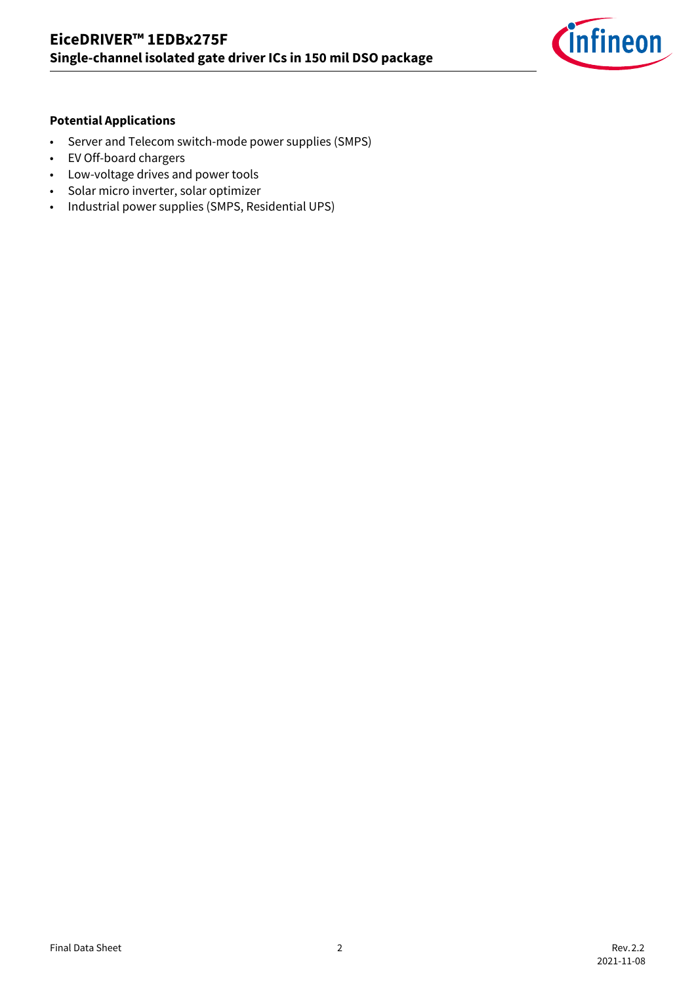

#### **Potential Applications**

- Server and Telecom switch-mode power supplies (SMPS)
- EV Off-board chargers
- Low-voltage drives and power tools
- Solar micro inverter, solar optimizer
- Industrial power supplies (SMPS, Residential UPS)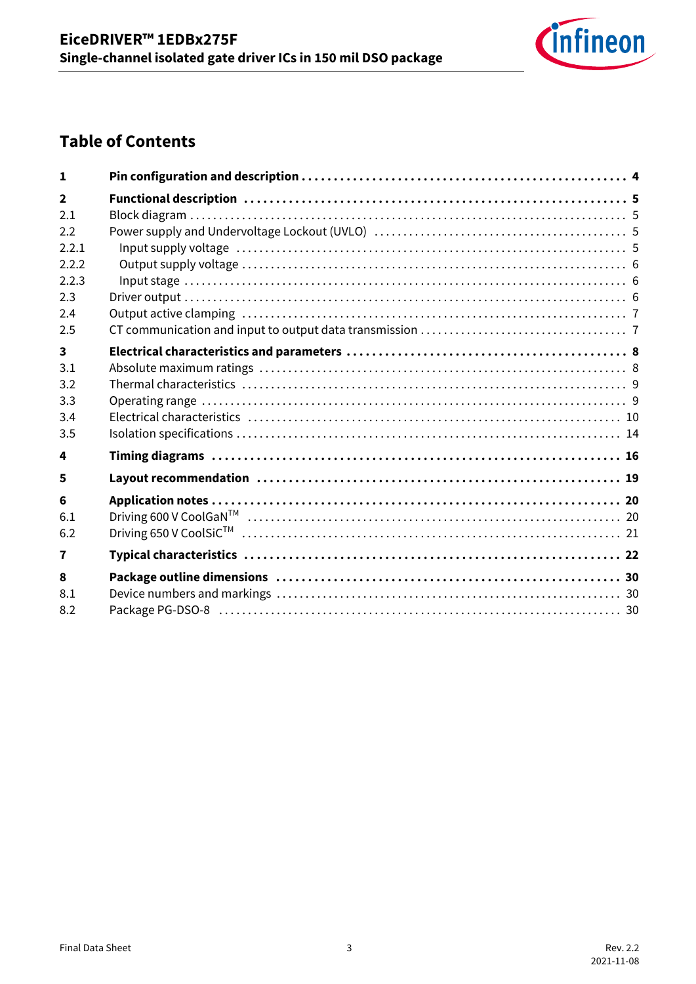

# **Table of Contents**

| $\mathbf{1}$            |  |
|-------------------------|--|
| $\overline{2}$          |  |
| 2.1                     |  |
| 2.2                     |  |
| 2.2.1                   |  |
| 2.2.2                   |  |
| 2.2.3                   |  |
| 2.3                     |  |
| 2.4                     |  |
| 2.5                     |  |
| $\overline{\mathbf{3}}$ |  |
| 3.1                     |  |
| 3.2                     |  |
| 3.3                     |  |
| 3.4                     |  |
| 3.5                     |  |
| 4                       |  |
| 5                       |  |
| 6                       |  |
| 6.1                     |  |
| 6.2                     |  |
| 7                       |  |
| 8                       |  |
| 8.1                     |  |
| 8.2                     |  |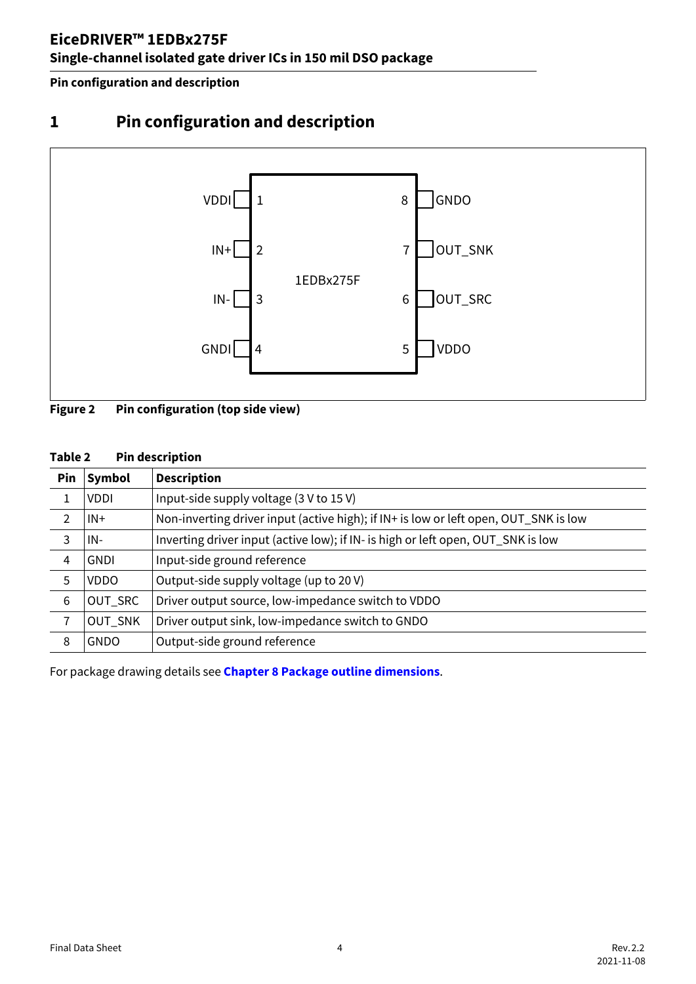**Pin configuration and description**

# <span id="page-3-0"></span>**1 Pin configuration and description**



**Figure 2 Pin configuration (top side view)**

#### **Table 2 Pin description**

| Pin | Symbol      | <b>Description</b>                                                                   |
|-----|-------------|--------------------------------------------------------------------------------------|
| 1   | <b>VDDI</b> | Input-side supply voltage (3 V to 15 V)                                              |
| 2   | $IN+$       | Non-inverting driver input (active high); if IN+ is low or left open, OUT_SNK is low |
| 3   | IN-         | Inverting driver input (active low); if IN- is high or left open, OUT_SNK is low     |
| 4   | <b>GNDI</b> | Input-side ground reference                                                          |
| 5   | <b>VDDO</b> | Output-side supply voltage (up to 20 V)                                              |
| 6   | OUT_SRC     | Driver output source, low-impedance switch to VDDO                                   |
| 7   | OUT_SNK     | Driver output sink, low-impedance switch to GNDO                                     |
| 8   | <b>GNDO</b> | Output-side ground reference                                                         |

For package drawing details see **[Chapter 8](#page-29-3) [Package outline dimensions](#page-29-3)**.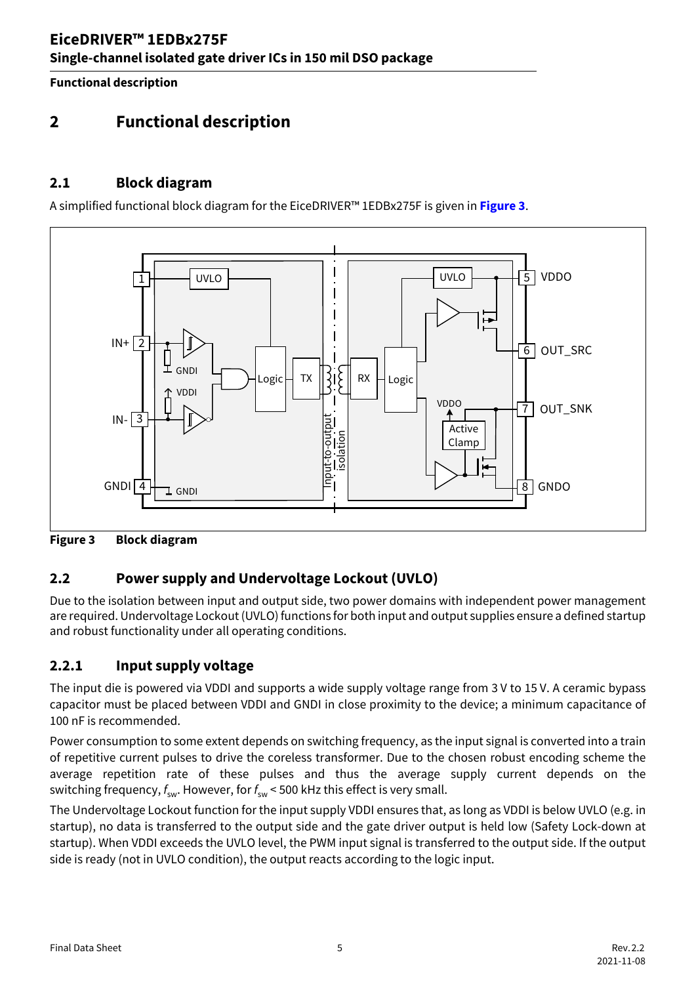**Functional description**

# <span id="page-4-0"></span>**2 Functional description**

### <span id="page-4-1"></span>**2.1 Block diagram**

A simplified functional block diagram for the EiceDRIVER™ 1EDBx275F is given in **[Figure 3](#page-4-4)**.



<span id="page-4-4"></span>**Figure 3 Block diagram**

### <span id="page-4-2"></span>**2.2 Power supply and Undervoltage Lockout (UVLO)**

Due to the isolation between input and output side, two power domains with independent power management are required. Undervoltage Lockout (UVLO) functions for both input and output supplies ensure a defined startup and robust functionality under all operating conditions.

### <span id="page-4-3"></span>**2.2.1 Input supply voltage**

The input die is powered via VDDI and supports a wide supply voltage range from 3 V to 15 V. A ceramic bypass capacitor must be placed between VDDI and GNDI in close proximity to the device; a minimum capacitance of 100 nF is recommended.

Power consumption to some extent depends on switching frequency, as the input signal is converted into a train of repetitive current pulses to drive the coreless transformer. Due to the chosen robust encoding scheme the average repetition rate of these pulses and thus the average supply current depends on the switching frequency,  $f_{\text{sw}}$ . However, for  $f_{\text{sw}}$  < 500 kHz this effect is very small.

The Undervoltage Lockout function for the input supply VDDI ensures that, as long as VDDI is below UVLO (e.g. in startup), no data is transferred to the output side and the gate driver output is held low (Safety Lock-down at startup). When VDDI exceeds the UVLO level, the PWM input signal is transferred to the output side. If the output side is ready (not in UVLO condition), the output reacts according to the logic input.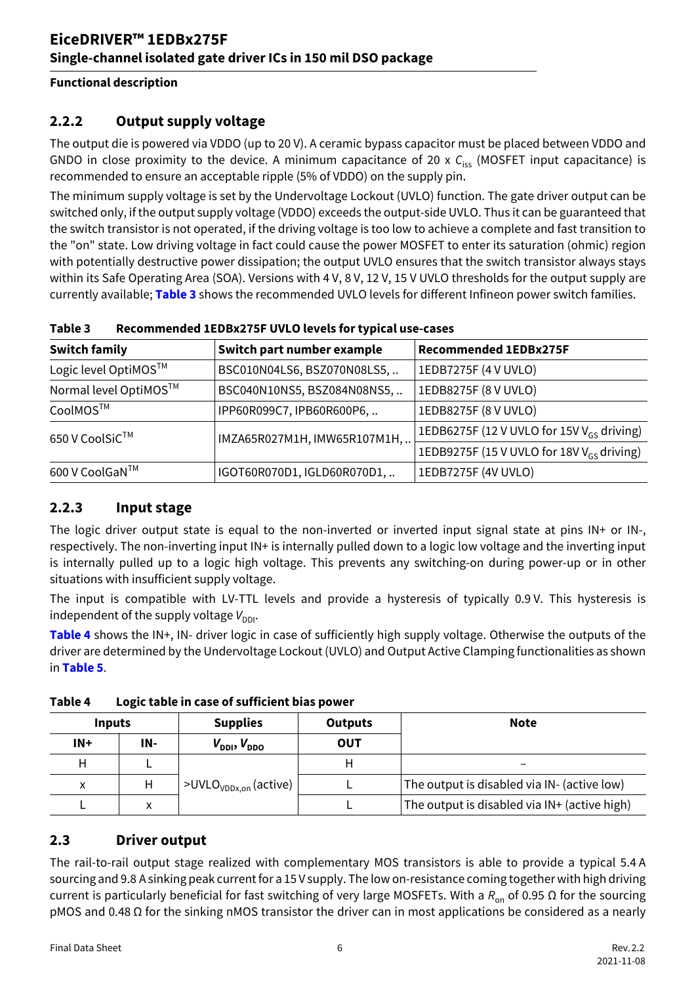#### **Functional description**

### <span id="page-5-0"></span>**2.2.2 Output supply voltage**

The output die is powered via VDDO (up to 20 V). A ceramic bypass capacitor must be placed between VDDO and GNDO in close proximity to the device. A minimum capacitance of 20 x  $C_{\text{ice}}$  (MOSFET input capacitance) is recommended to ensure an acceptable ripple (5% of VDDO) on the supply pin.

The minimum supply voltage is set by the Undervoltage Lockout (UVLO) function. The gate driver output can be switched only, if the output supply voltage (VDDO) exceeds the output-side UVLO. Thus it can be guaranteed that the switch transistor is not operated, if the driving voltage is too low to achieve a complete and fast transition to the "on" state. Low driving voltage in fact could cause the power MOSFET to enter its saturation (ohmic) region with potentially destructive power dissipation; the output UVLO ensures that the switch transistor always stays within its Safe Operating Area (SOA). Versions with 4 V, 8 V, 12 V, 15 V UVLO thresholds for the output supply are currently available; **[Table 3](#page-5-4)** shows the recommended UVLO levels for different Infineon power switch families.

| <b>Switch family</b>  | Switch part number example   | <b>Recommended 1EDBx275F</b>                          |
|-----------------------|------------------------------|-------------------------------------------------------|
| Logic level OptiMOS™  | BSC010N04LS6, BSZ070N08LS5,  | 1EDB7275F (4 V UVLO)                                  |
| Normal level OptiMOS™ | BSC040N10NS5, BSZ084N08NS5,  | 1EDB8275F (8 V UVLO)                                  |
| CoolMOS™              | IPP60R099C7, IPB60R600P6,    | 1EDB8275F (8 V UVLO)                                  |
| 650 V CoolSiC™        | IMZA65R027M1H, IMW65R107M1H, | 1EDB6275F (12 V UVLO for 15V V <sub>GS</sub> driving) |
|                       |                              | 1EDB9275F (15 V UVLO for 18V V <sub>GS</sub> driving) |
| 600 V CoolGaN™        | IGOT60R070D1, IGLD60R070D1,  | 1EDB7275F (4V UVLO)                                   |

<span id="page-5-5"></span><span id="page-5-4"></span>**Table 3 Recommended 1EDBx275F UVLO levels for typical use-cases**

### <span id="page-5-1"></span>**2.2.3 Input stage**

The logic driver output state is equal to the non-inverted or inverted input signal state at pins IN+ or IN-, respectively. The non-inverting input IN+ is internally pulled down to a logic low voltage and the inverting input is internally pulled up to a logic high voltage. This prevents any switching-on during power-up or in other situations with insufficient supply voltage.

The input is compatible with LV-TTL levels and provide a hysteresis of typically 0.9 V. This hysteresis is independent of the supply voltage  $V_{DDI}$ .

**[Table 4](#page-5-3)** shows the IN+, IN- driver logic in case of sufficiently high supply voltage. Otherwise the outputs of the driver are determined by the Undervoltage Lockout (UVLO) and Output Active Clamping functionalities as shown in **[Table 5](#page-6-2)**.

| <b>Inputs</b> |     | <b>Supplies</b>                   | <b>Outputs</b> | <b>Note</b>                                  |  |  |  |
|---------------|-----|-----------------------------------|----------------|----------------------------------------------|--|--|--|
| $IN+$         | IN- | $V_{DDI}$ , $V_{DDO}$             | <b>OUT</b>     |                                              |  |  |  |
| Н             |     |                                   |                |                                              |  |  |  |
| x             | Η   | >UVLO <sub>VDDx.on</sub> (active) |                | The output is disabled via IN- (active low)  |  |  |  |
|               | ⋏   |                                   |                | The output is disabled via IN+ (active high) |  |  |  |

<span id="page-5-3"></span>**Table 4 Logic table in case of sufficient bias power** 

#### <span id="page-5-2"></span>**2.3 Driver output**

The rail-to-rail output stage realized with complementary MOS transistors is able to provide a typical 5.4 A sourcing and 9.8 A sinking peak current for a 15 V supply. The low on-resistance coming together with high driving current is particularly beneficial for fast switching of very large MOSFETs. With a *R*<sub>on</sub> of 0.95 Ω for the sourcing pMOS and 0.48 Ω for the sinking nMOS transistor the driver can in most applications be considered as a nearly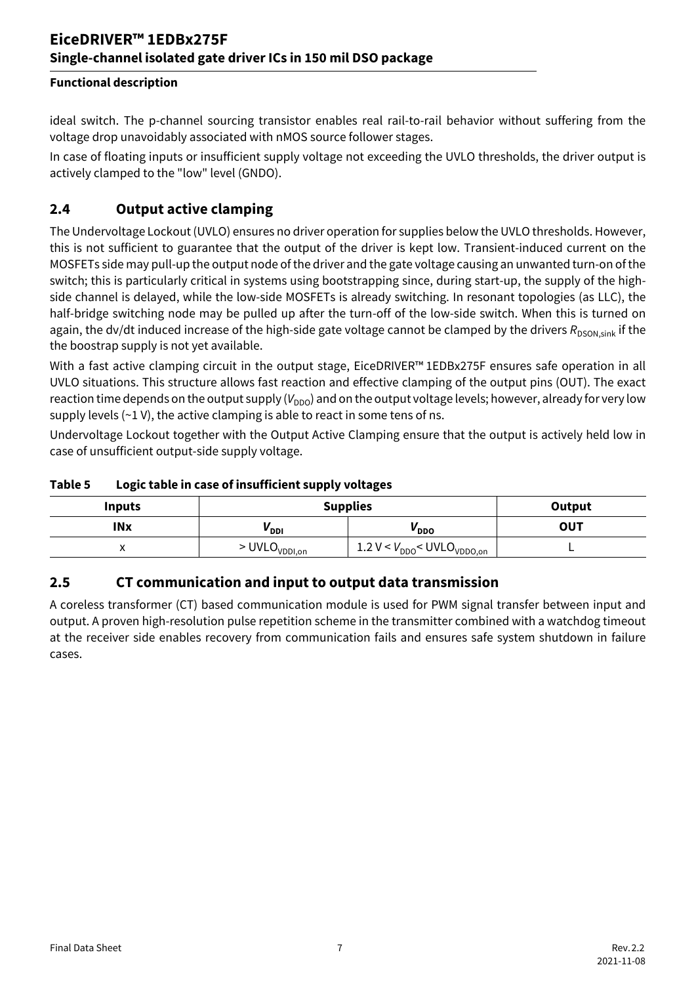### **EiceDRIVER™ 1EDBx275F Single-channel isolated gate driver ICs in 150 mil DSO package**

#### **Functional description**

ideal switch. The p-channel sourcing transistor enables real rail-to-rail behavior without suffering from the voltage drop unavoidably associated with nMOS source follower stages.

In case of floating inputs or insufficient supply voltage not exceeding the UVLO thresholds, the driver output is actively clamped to the "low" level (GNDO).

#### <span id="page-6-0"></span>**2.4 Output active clamping**

The Undervoltage Lockout (UVLO) ensures no driver operation for supplies below the UVLO thresholds. However, this is not sufficient to guarantee that the output of the driver is kept low. Transient-induced current on the MOSFETs side may pull-up the output node of the driver and the gate voltage causing an unwanted turn-on of the switch; this is particularly critical in systems using bootstrapping since, during start-up, the supply of the highside channel is delayed, while the low-side MOSFETs is already switching. In resonant topologies (as LLC), the half-bridge switching node may be pulled up after the turn-off of the low-side switch. When this is turned on again, the dv/dt induced increase of the high-side gate voltage cannot be clamped by the drivers R<sub>DSON sink</sub> if the the boostrap supply is not yet available.

With a fast active clamping circuit in the output stage, EiceDRIVER™ 1EDBx275F ensures safe operation in all UVLO situations. This structure allows fast reaction and effective clamping of the output pins (OUT). The exact reaction time depends on the output supply ( $V_{DDO}$ ) and on the output voltage levels; however, already for very low supply levels  $(-1 V)$ , the active clamping is able to react in some tens of ns.

Undervoltage Lockout together with the Output Active Clamping ensure that the output is actively held low in case of unsufficient output-side supply voltage.

| <b>Inputs</b>            | <b>Supplies</b>             | Output                                      |     |
|--------------------------|-----------------------------|---------------------------------------------|-----|
| <b>INx</b>               | <sup>v</sup> ddi            | <b>V</b> <sub>DDO</sub>                     | OUT |
| $\overline{\phantom{a}}$ | $>$ UVLO <sub>VDDI,on</sub> | 1.2 $V < V_{DDO} <$ UVLO <sub>VDDO,on</sub> |     |

#### <span id="page-6-2"></span>**Table 5 Logic table in case of insufficient supply voltages**

#### <span id="page-6-1"></span>**2.5 CT communication and input to output data transmission**

A coreless transformer (CT) based communication module is used for PWM signal transfer between input and output. A proven high-resolution pulse repetition scheme in the transmitter combined with a watchdog timeout at the receiver side enables recovery from communication fails and ensures safe system shutdown in failure cases.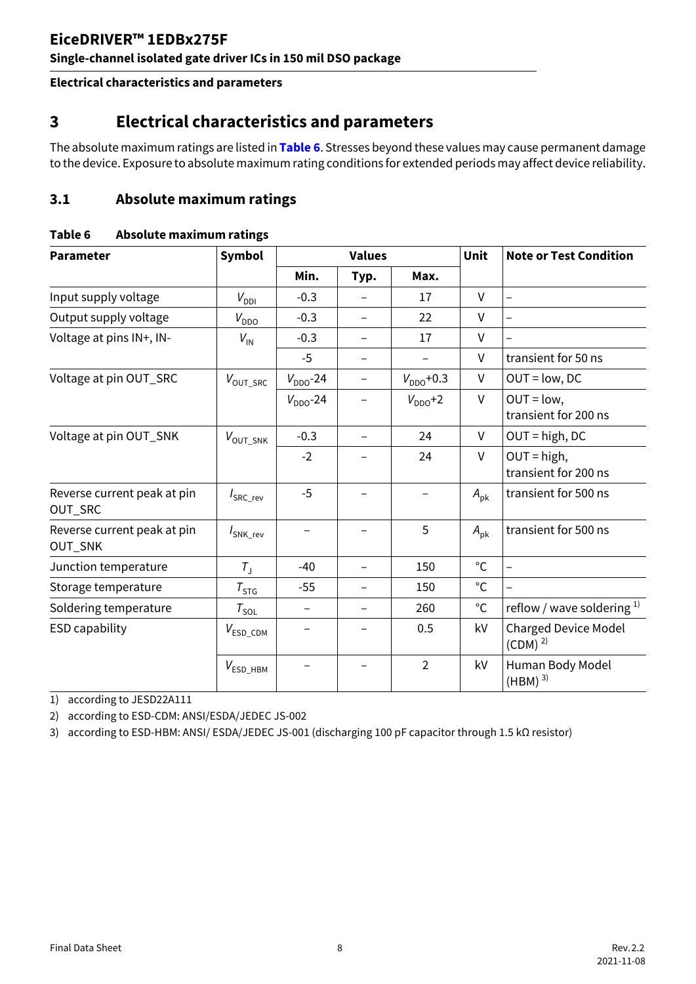#### **Single-channel isolated gate driver ICs in 150 mil DSO package**

**Electrical characteristics and parameters**

### <span id="page-7-0"></span>**3 Electrical characteristics and parameters**

The absolute maximum ratings are listed in **[Table 6](#page-7-2)**. Stresses beyond these values may cause permanent damage to the device. Exposure to absolute maximum rating conditions for extended periods may affect device reliability.

#### <span id="page-7-1"></span>**3.1 Absolute maximum ratings**

#### <span id="page-7-2"></span>**Table 6 Absolute maximum ratings**

| <b>Parameter</b>                       | Symbol                |               | <b>Values</b>            |                | Unit         | <b>Note or Test Condition</b>              |  |
|----------------------------------------|-----------------------|---------------|--------------------------|----------------|--------------|--------------------------------------------|--|
|                                        |                       | Min.          | Typ.                     | Max.           |              |                                            |  |
| Input supply voltage                   | $V_{DDI}$             | $-0.3$        |                          | 17             | $\vee$       | $\overline{\phantom{0}}$                   |  |
| Output supply voltage                  | $V_{DDO}$             | $-0.3$        | -                        | 22             | $\vee$       | $\qquad \qquad -$                          |  |
| Voltage at pins IN+, IN-               | $V_{\text{IN}}$       | $-0.3$        |                          | 17             | $\vee$       |                                            |  |
|                                        |                       | $-5$          | $\overline{\phantom{0}}$ |                | V            | transient for 50 ns                        |  |
| Voltage at pin OUT_SRC                 | $V_{\text{OUT\_SRC}}$ | $V_{DDO}$ -24 | $\overline{\phantom{0}}$ | $V_{DDO}$ +0.3 | V            | $OUT = low, DC$                            |  |
|                                        |                       | $V_{DDO}$ -24 |                          | $V_{DDO}$ +2   | V            | $OUT = low,$<br>transient for 200 ns       |  |
| Voltage at pin OUT_SNK                 | $V_{\text{OUT\_SNK}}$ | $-0.3$        | $\overline{\phantom{0}}$ | 24             | $\vee$       | $OUT = high, DC$                           |  |
|                                        |                       | $-2$          |                          | 24             | V            | $OUT = high,$<br>transient for 200 ns      |  |
| Reverse current peak at pin<br>OUT_SRC | $I_{\text{SRC\_rev}}$ | $-5$          |                          |                | $A_{\rm pk}$ | transient for 500 ns                       |  |
| Reverse current peak at pin<br>OUT_SNK | SNK_rev               |               |                          | 5              | $A_{\rm pk}$ | transient for 500 ns                       |  |
| Junction temperature                   | $T_{\rm J}$           | $-40$         | $\overline{\phantom{0}}$ | 150            | $^{\circ}$ C | $\overline{\phantom{0}}$                   |  |
| Storage temperature                    | $\tau_{\textsf{STG}}$ | $-55$         |                          | 150            | $^{\circ}$ C |                                            |  |
| Soldering temperature                  | $\tau_{\textsf{sol}}$ |               | $\overline{\phantom{0}}$ | 260            | $^{\circ}$ C | reflow / wave soldering $1$                |  |
| <b>ESD capability</b>                  | $V_{ESD\_CDM}$        |               |                          | 0.5            | kV           | <b>Charged Device Model</b><br>$(CDM)^{2}$ |  |
|                                        | $V_{ESD\_HBM}$        |               |                          | $\overline{2}$ | kV           | Human Body Model<br>$(HBM)^{3}$            |  |

1) according to JESD22A111

2) according to ESD-CDM: ANSI/ESDA/JEDEC JS-002

3) according to ESD-HBM: ANSI/ ESDA/JEDEC JS-001 (discharging 100 pF capacitor through 1.5 kΩ resistor)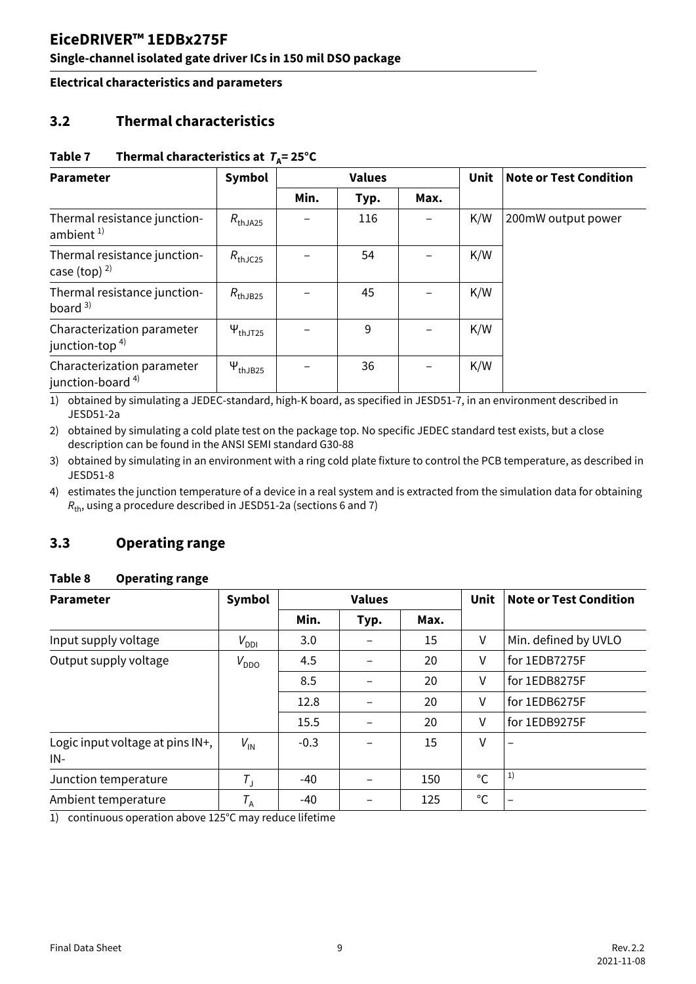### **Single-channel isolated gate driver ICs in 150 mil DSO package**

**Electrical characteristics and parameters**

### <span id="page-8-0"></span>**3.2 Thermal characteristics**

#### <span id="page-8-3"></span>Table 7 Thermal characteristics at  $T_A = 25^\circ C$

| <b>Parameter</b>                                   | Symbol                 | <b>Values</b> |      |      |     |                    | Unit | <b>Note or Test Condition</b> |
|----------------------------------------------------|------------------------|---------------|------|------|-----|--------------------|------|-------------------------------|
|                                                    |                        | Min.          | Typ. | Max. |     |                    |      |                               |
| Thermal resistance junction-<br>ambient $1$        | $R_{th$ JA25           |               | 116  |      | K/W | 200mW output power |      |                               |
| Thermal resistance junction-<br>case (top) $^{2)}$ | $R_{th$ JC25           |               | 54   |      | K/W |                    |      |                               |
| Thermal resistance junction-<br>board $3$          | $R_{th$ JB25           |               | 45   |      | K/W |                    |      |                               |
| Characterization parameter<br>junction-top $4$ )   | $\Psi_{\text{thJT25}}$ |               | 9    |      | K/W |                    |      |                               |
| Characterization parameter<br>junction-board $4$ ) | $\Psi_{thJB25}$        |               | 36   |      | K/W |                    |      |                               |

<span id="page-8-2"></span>1) obtained by simulating a JEDEC-standard, high-K board, as specified in JESD51-7, in an environment described in JESD51-2a

2) obtained by simulating a cold plate test on the package top. No specific JEDEC standard test exists, but a close description can be found in the ANSI SEMI standard G30-88

3) obtained by simulating in an environment with a ring cold plate fixture to control the PCB temperature, as described in JESD51-8

4) estimates the junction temperature of a device in a real system and is extracted from the simulation data for obtaining  $R_{th}$ , using a procedure described in JESD51-2a (sections 6 and 7)

### <span id="page-8-1"></span>**3.3 Operating range**

#### **Table 8 Operating range**

| <b>Parameter</b>                        | Symbol          |        | <b>Values</b> |      | Unit         | <b>Note or Test Condition</b> |  |
|-----------------------------------------|-----------------|--------|---------------|------|--------------|-------------------------------|--|
|                                         |                 | Min.   | Typ.          | Max. |              |                               |  |
| Input supply voltage                    | $V_{DDI}$       | 3.0    |               | 15   | V            | Min. defined by UVLO          |  |
| Output supply voltage                   | $V_{DDO}$       | 4.5    |               | 20   | V            | for 1EDB7275F                 |  |
|                                         |                 | 8.5    |               | 20   | V            | for 1EDB8275F                 |  |
|                                         |                 | 12.8   |               | 20   | V            | for 1EDB6275F                 |  |
|                                         |                 | 15.5   |               | 20   | v            | for 1EDB9275F                 |  |
| Logic input voltage at pins IN+,<br>IN- | $V_{\text{IN}}$ | $-0.3$ |               | 15   | V            | $\overline{\phantom{0}}$      |  |
| Junction temperature                    | $T_{\rm J}$     | $-40$  |               | 150  | °C           | 1)                            |  |
| Ambient temperature                     | $T_A$           | $-40$  |               | 125  | $^{\circ}$ C |                               |  |

1) continuous operation above 125°C may reduce lifetime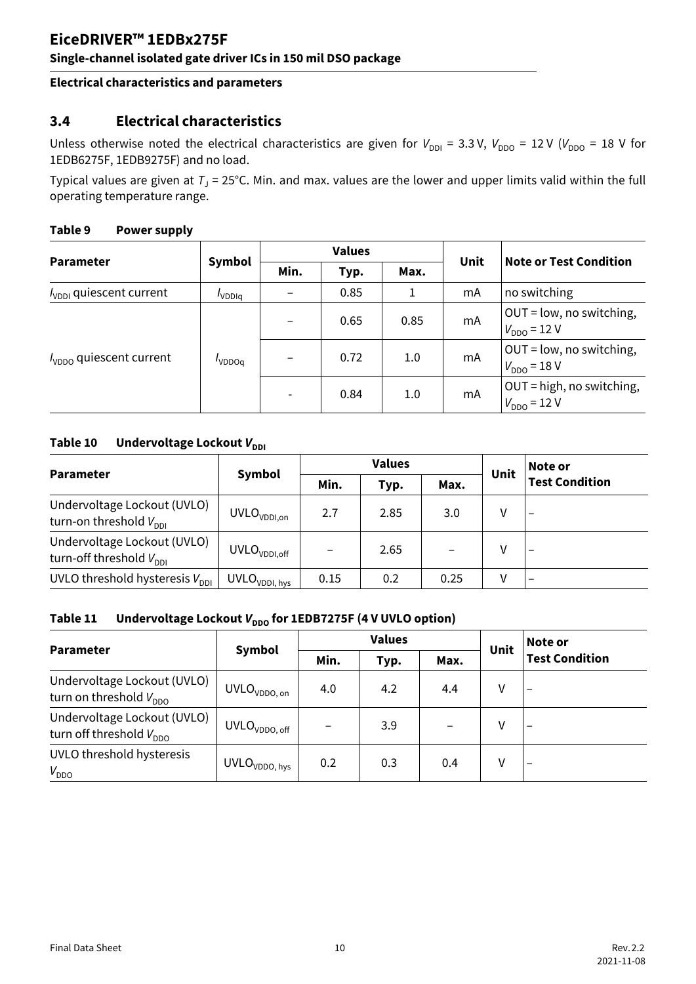#### **Single-channel isolated gate driver ICs in 150 mil DSO package**

#### **Electrical characteristics and parameters**

#### <span id="page-9-0"></span>**3.4 Electrical characteristics**

Unless otherwise noted the electrical characteristics are given for  $V_{DDI} = 3.3 V$ ,  $V_{DDO} = 12 V (V_{DDO} = 18 V$  for 1EDB6275F, 1EDB9275F) and no load.

Typical values are given at  $T_J = 25^{\circ}$ C. Min. and max. values are the lower and upper limits valid within the full operating temperature range.

|                                     |                   | <b>Values</b>            |      |      |             |                                               |  |
|-------------------------------------|-------------------|--------------------------|------|------|-------------|-----------------------------------------------|--|
| <b>Parameter</b>                    | Symbol            | Min.                     | Typ. | Max. | <b>Unit</b> | <b>Note or Test Condition</b>                 |  |
| $I_{\text{VDDI}}$ quiescent current | VDD <sub>Iq</sub> |                          | 0.85 | 1    | mA          | no switching                                  |  |
| $I_{\text{VDDO}}$ quiescent current | VDDO <sub>q</sub> |                          | 0.65 | 0.85 | mA          | OUT = low, no switching,<br>$V_{DDO} = 12 V$  |  |
|                                     |                   |                          | 0.72 | 1.0  | mA          | OUT = low, no switching,<br>$V_{DDO} = 18 V$  |  |
|                                     |                   | $\overline{\phantom{a}}$ | 0.84 | 1.0  | mA          | OUT = high, no switching,<br>$V_{DDO} = 12 V$ |  |

#### **Table 9 Power supply**

#### **Table 10** Undervoltage Lockout  $V_{\text{DDI}}$

|                                                                   |                                             |      | <b>Values</b> |      |      | Note or               |  |
|-------------------------------------------------------------------|---------------------------------------------|------|---------------|------|------|-----------------------|--|
| <b>Parameter</b>                                                  | Symbol                                      | Min. | Typ.          | Max. | Unit | <b>Test Condition</b> |  |
| Undervoltage Lockout (UVLO)<br>turn-on threshold $V_{\text{DDI}}$ | $\mathsf{UVLO}_{\mathsf{VDDI},\mathsf{on}}$ | 2.7  | 2.85          | 3.0  | V    |                       |  |
| Undervoltage Lockout (UVLO)<br>turn-off threshold $V_{DDI}$       | UVLO <sub>VDDI,off</sub>                    |      | 2.65          |      | ٧    |                       |  |
| UVLO threshold hysteresis $V_{DDI}$                               | UVLO <sub>VDDI, hys</sub>                   | 0.15 | 0.2           | 0.25 | ٧    |                       |  |

#### Table 11 Undervoltage Lockout  $V_{\text{non}}$  for 1EDB7275F (4 V UVLO option)

|                                                             |                           |      | <b>Values</b> |      |      | Note or<br><b>Test Condition</b> |  |
|-------------------------------------------------------------|---------------------------|------|---------------|------|------|----------------------------------|--|
| <b>Parameter</b>                                            | Symbol                    | Min. | Typ.          | Max. | Unit |                                  |  |
| Undervoltage Lockout (UVLO)<br>turn on threshold $V_{DDO}$  | UVLO <sub>VDDO, on</sub>  | 4.0  | 4.2           | 4.4  | V    | $\qquad \qquad$                  |  |
| Undervoltage Lockout (UVLO)<br>turn off threshold $V_{DDO}$ | UVLO <sub>VDDO, off</sub> |      | 3.9           |      | V    | $\qquad \qquad$                  |  |
| UVLO threshold hysteresis<br>$V_{DDO}$                      | UVLO <sub>VDDO, hys</sub> | 0.2  | 0.3           | 0.4  | V    | -                                |  |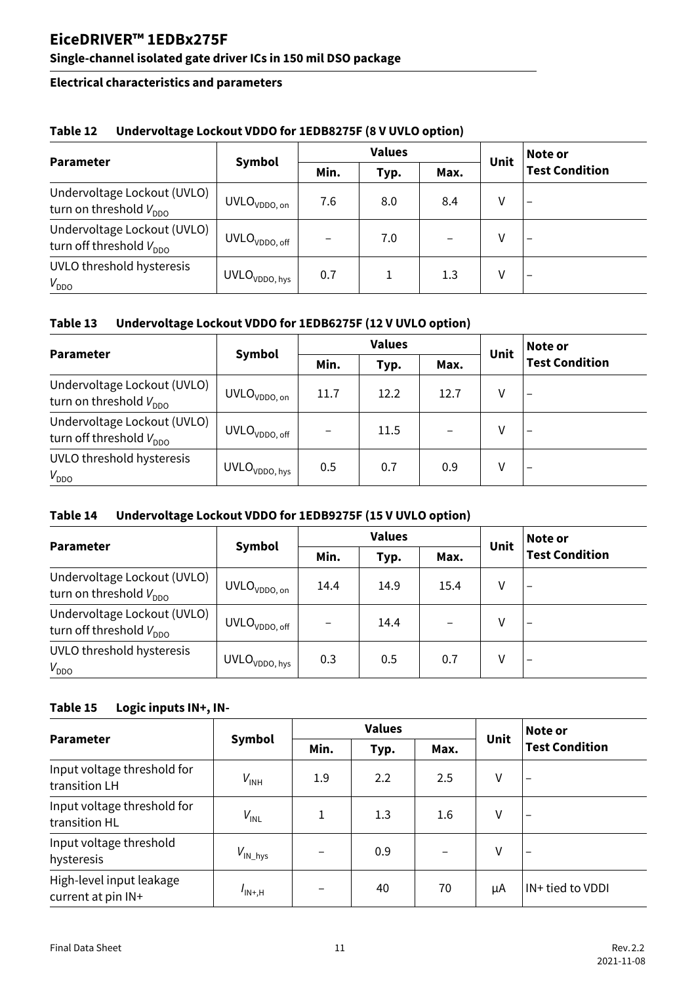### **Single-channel isolated gate driver ICs in 150 mil DSO package**

#### **Electrical characteristics and parameters**

|                                                             |                           |      | <b>Values</b> |      | Note or |                          |  |
|-------------------------------------------------------------|---------------------------|------|---------------|------|---------|--------------------------|--|
| <b>Parameter</b>                                            | Symbol                    | Min. | Typ.          | Max. | Unit    | <b>Test Condition</b>    |  |
| Undervoltage Lockout (UVLO)<br>turn on threshold $V_{DDO}$  | UVLO <sub>VDDO, on</sub>  | 7.6  | 8.0           | 8.4  | ٧       | $\overline{\phantom{0}}$ |  |
| Undervoltage Lockout (UVLO)<br>turn off threshold $V_{DDO}$ | UVLO <sub>VDDO, off</sub> |      | 7.0           |      | ٧       | $\overline{\phantom{0}}$ |  |
| UVLO threshold hysteresis<br>$V_{DDO}$                      | UVLO <sub>VDDO, hys</sub> | 0.7  |               | 1.3  | ۷       |                          |  |

#### **Table 12 Undervoltage Lockout VDDO for 1EDB8275F (8 V UVLO option)**

#### **Table 13 Undervoltage Lockout VDDO for 1EDB6275F (12 V UVLO option)**

|                                                             |                           |      | <b>Values</b> |      | Unit | Note or<br><b>Test Condition</b> |
|-------------------------------------------------------------|---------------------------|------|---------------|------|------|----------------------------------|
| <b>Parameter</b>                                            | Symbol                    | Min. | Typ.          | Max. |      |                                  |
| Undervoltage Lockout (UVLO)<br>turn on threshold $V_{DDO}$  | UVLO <sub>VDDO, on</sub>  | 11.7 | 12.2          | 12.7 | ٧    | $\overline{\phantom{0}}$         |
| Undervoltage Lockout (UVLO)<br>turn off threshold $V_{DDO}$ | $UVLO_{VDDO,\, off}$      |      | 11.5          |      | ٧    | $\overline{\phantom{0}}$         |
| UVLO threshold hysteresis<br>$V_{DDO}$                      | UVLO <sub>VDDO, hys</sub> | 0.5  | 0.7           | 0.9  | ٧    | $\qquad \qquad$                  |

#### **Table 14 Undervoltage Lockout VDDO for 1EDB9275F (15 V UVLO option)**

|                                                             |                           |      | <b>Values</b> |      | Unit | Note or                  |  |
|-------------------------------------------------------------|---------------------------|------|---------------|------|------|--------------------------|--|
| <b>Parameter</b>                                            | Symbol                    | Min. | Typ.          | Max. |      | <b>Test Condition</b>    |  |
| Undervoltage Lockout (UVLO)<br>turn on threshold $V_{DDO}$  | UVLO <sub>VDDO, on</sub>  | 14.4 | 14.9          | 15.4 | V    | $\overline{\phantom{0}}$ |  |
| Undervoltage Lockout (UVLO)<br>turn off threshold $V_{DDO}$ | $UVLO_{VDDO,\, off}$      |      | 14.4          |      | ٧    |                          |  |
| UVLO threshold hysteresis<br>$V_{DDO}$                      | UVLO <sub>VDDO, hys</sub> | 0.3  | 0.5           | 0.7  | ٧    | -                        |  |

#### **Table 15 Logic inputs IN+, IN-**

|                                                |                     |      | <b>Values</b> |      |      | Note or                  |  |
|------------------------------------------------|---------------------|------|---------------|------|------|--------------------------|--|
| <b>Parameter</b>                               | <b>Symbol</b>       | Min. | Typ.          | Max. | Unit | <b>Test Condition</b>    |  |
| Input voltage threshold for<br>transition LH   | $V_{INH}$           | 1.9  | 2.2           | 2.5  | ٧    | $\overline{\phantom{0}}$ |  |
| Input voltage threshold for<br>transition HL   | $V_{\text{INL}}$    | 1    | 1.3           | 1.6  | V    | $\overline{\phantom{0}}$ |  |
| Input voltage threshold<br>hysteresis          | $V_{\text{IN}$ _hys |      | 0.9           |      | ٧    | $\overline{\phantom{0}}$ |  |
| High-level input leakage<br>current at pin IN+ | $I_{IN+,H}$         |      | 40            | 70   | μA   | IN+ tied to VDDI         |  |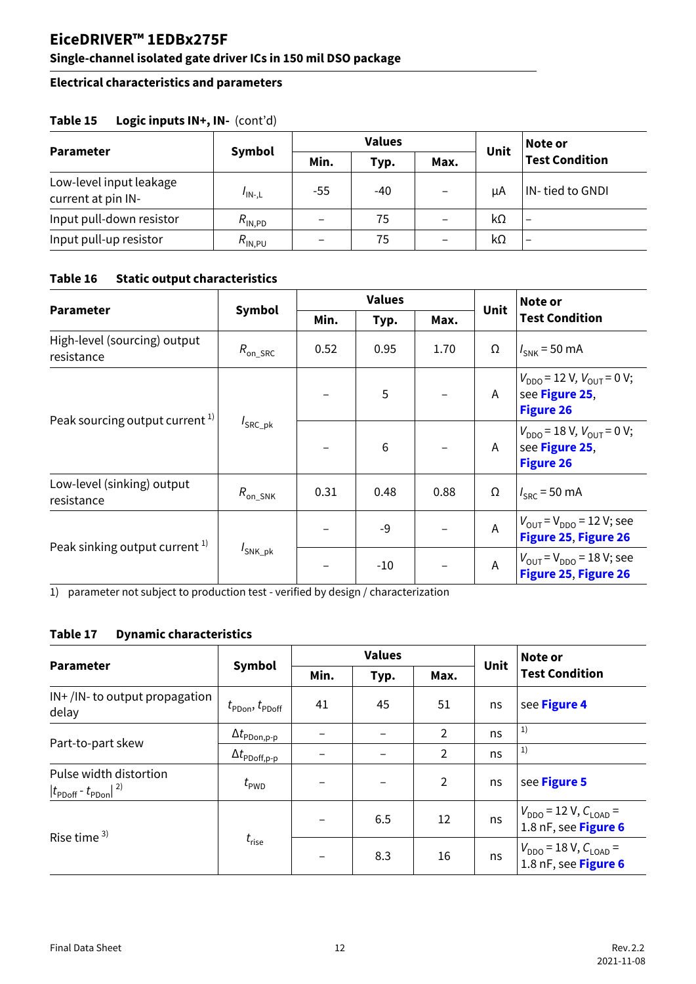### **Single-channel isolated gate driver ICs in 150 mil DSO package**

#### **Electrical characteristics and parameters**

|                                               |                               |       | <b>Values</b> |                          |      | Note or<br>Test Condition |
|-----------------------------------------------|-------------------------------|-------|---------------|--------------------------|------|---------------------------|
| <b>Parameter</b>                              | Symbol                        | Min.  | Typ.          | Max.                     | Unit |                           |
| Low-level input leakage<br>current at pin IN- | $I_{IN-L}$                    | $-55$ | -40           |                          | μA   | IN-tied to GNDI           |
| Input pull-down resistor                      | $R_{\mathsf{IN},\mathsf{PD}}$ |       | 75            | $\overline{\phantom{m}}$ | kΩ   | $\overline{\phantom{m}}$  |
| Input pull-up resistor                        | $R_{\rm IN,PU}$               |       | 75            | $\overline{\phantom{m}}$ | kΩ   | $\overline{\phantom{m}}$  |

#### **Table 15 Logic inputs IN+, IN-** (cont'd)

### <span id="page-11-3"></span>**Table 16 Static output characteristics**

<span id="page-11-0"></span>

|                                            |                             |      | <b>Values</b> |      | Unit           | Note or                                                                               |                                                                          |
|--------------------------------------------|-----------------------------|------|---------------|------|----------------|---------------------------------------------------------------------------------------|--------------------------------------------------------------------------|
| <b>Parameter</b>                           | Symbol                      | Min. | Typ.          | Max. |                | <b>Test Condition</b>                                                                 |                                                                          |
| High-level (sourcing) output<br>resistance | $R_{\rm on\_SRC}$           | 0.52 | 0.95          | 1.70 | Ω              | $I_{SNK}$ = 50 mA                                                                     |                                                                          |
|                                            |                             |      | 5             |      | A              | $V_{DDO}$ = 12 V, $V_{OUT}$ = 0 V;<br>see Figure 25,<br><b>Figure 26</b>              |                                                                          |
| Peak sourcing output current <sup>1)</sup> | $I_{\text{SRC}\_\text{pk}}$ |      |               | 6    |                | A                                                                                     | $V_{DDO}$ = 18 V, $V_{OUT}$ = 0 V;<br>see Figure 25,<br><b>Figure 26</b> |
| Low-level (sinking) output<br>resistance   | $R_{\rm on\_SNK}$           | 0.31 | 0.48          | 0.88 | Ω              | $I_{SRC}$ = 50 mA                                                                     |                                                                          |
|                                            |                             |      | $-9$          |      | $\overline{A}$ | $V_{\text{OUT}} = V_{\text{DDO}} = 12 \text{ V}$ ; see<br><b>Figure 25, Figure 26</b> |                                                                          |
| Peak sinking output current <sup>1)</sup>  | $I_{SNK_ppk}$               |      | $-10$         |      | A              | $V_{\text{OUT}} = V_{\text{DDO}} = 18 \text{ V}$ ; see<br>Figure 25, Figure 26        |                                                                          |

1) parameter not subject to production test - verified by design / characterization

#### <span id="page-11-2"></span>**Table 17 Dynamic characteristics**

<span id="page-11-1"></span>

|                                                                                  |                                                         |      | <b>Values</b> |                | Unit | Note or                                                |
|----------------------------------------------------------------------------------|---------------------------------------------------------|------|---------------|----------------|------|--------------------------------------------------------|
| <b>Parameter</b>                                                                 | Symbol                                                  | Min. | Typ.          | Max.           |      | <b>Test Condition</b>                                  |
| $IN+/IN-$ to output propagation<br>delay                                         | $t_{\text{PDon}}$ , $t_{\text{PDoff}}$                  | 41   | 45            | 51             | ns   | see Figure 4                                           |
|                                                                                  | $\Delta t_{\mathsf{PDon},\mathsf{p}\text{-}\mathsf{p}}$ |      |               | $\overline{2}$ | ns   | 1)                                                     |
| Part-to-part skew                                                                | $\Delta t_{\mathsf{PDoff,p}\text{-}\mathsf{p}}$         |      |               | $\overline{2}$ | ns   | 1)                                                     |
| Pulse width distortion<br>$ t_{\text{PDoff}}$ - $t_{\text{PDon}} $ <sup>2)</sup> | $t_{\mathsf{PWD}}$                                      |      |               | $\overline{2}$ | ns   | see Figure 5                                           |
| Rise time $3$                                                                    | $t_{\rm rise}$                                          |      | 6.5           | 12             | ns   | $V_{DDO}$ = 12 V, $C_{LOAD}$ =<br>1.8 nF, see Figure 6 |
|                                                                                  |                                                         |      | 8.3           | 16             | ns   | $V_{DDO}$ = 18 V, $C_{LOAD}$ =<br>1.8 nF, see Figure 6 |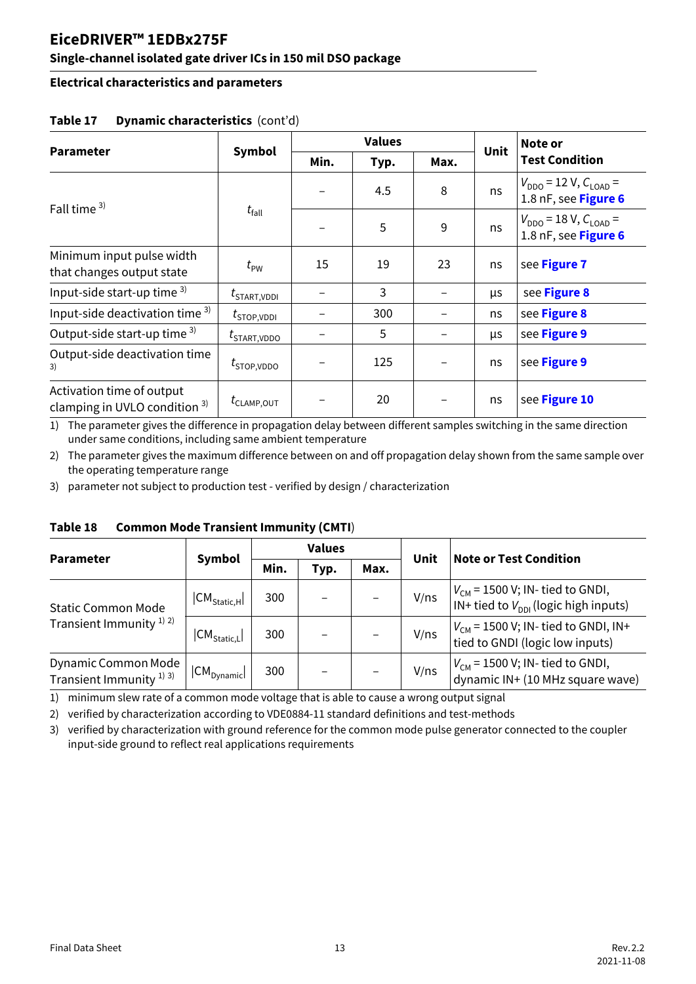### **Single-channel isolated gate driver ICs in 150 mil DSO package**

#### **Electrical characteristics and parameters**

<span id="page-12-0"></span>

| <b>Parameter</b>                                              | Symbol                              |      | <b>Values</b> |      | Unit | Note or                                                |
|---------------------------------------------------------------|-------------------------------------|------|---------------|------|------|--------------------------------------------------------|
|                                                               |                                     | Min. | Typ.          | Max. |      | <b>Test Condition</b>                                  |
| Fall time $3$ )                                               |                                     |      | 4.5           | 8    | ns   | $V_{DDO}$ = 12 V, $C_{LOAD}$ =<br>1.8 nF, see Figure 6 |
|                                                               | $t_{\text{fall}}$                   |      | 5             | 9    | ns   | $V_{DDO}$ = 18 V, $C_{LOAD}$ =<br>1.8 nF, see Figure 6 |
| Minimum input pulse width<br>that changes output state        | $t_{\text{PW}}$                     | 15   | 19            | 23   | ns   | see Figure 7                                           |
| Input-side start-up time 3)                                   | $t_{\scriptstyle \text{STAT,VDDI}}$ |      | 3             |      | μs   | see Figure 8                                           |
| Input-side deactivation time 3)                               | $t_{\footnotesize\rm STOP, VDDI}$   |      | 300           |      | ns   | see Figure 8                                           |
| Output-side start-up time 3)                                  | $t_{\footnotesize\rm START, VDDO}$  |      | 5             |      | μs   | see Figure 9                                           |
| Output-side deactivation time<br>3)                           | $t_{\text{STOP, VDDO}}$             |      | 125           |      | ns   | see Figure 9                                           |
| Activation time of output<br>clamping in UVLO condition $3$ ) | $t_{\text{CLAMP,OUT}}$              |      | 20            |      | ns   | see Figure 10                                          |

#### **Table 17 Dynamic characteristics** (cont'd)

1) The parameter gives the difference in propagation delay between different samples switching in the same direction under same conditions, including same ambient temperature

2) The parameter gives the maximum difference between on and off propagation delay shown from the same sample over the operating temperature range

3) parameter not subject to production test - verified by design / characterization

<span id="page-12-1"></span>

| Parameter                                                             |                                              | <b>Values</b> |                          |      | Unit | <b>Note or Test Condition</b>                                                     |  |
|-----------------------------------------------------------------------|----------------------------------------------|---------------|--------------------------|------|------|-----------------------------------------------------------------------------------|--|
|                                                                       | <b>Symbol</b>                                | Min.          | Typ.                     | Max. |      |                                                                                   |  |
| <b>Static Common Mode</b>                                             | $ \mathsf{CM}_{\mathsf{Static},\mathsf{H}} $ | 300           | $\overline{\phantom{0}}$ |      | V/ns | $V_{CM}$ = 1500 V; IN- tied to GNDI,<br>IN+ tied to $V_{DDI}$ (logic high inputs) |  |
| Transient Immunity <sup>1)</sup> <sup>2)</sup>                        | $ \mathsf{CM}_{\mathsf{Static},\mathsf{L}} $ | 300           |                          |      | V/ns | $V_{CM}$ = 1500 V; IN- tied to GNDI, IN+<br>tied to GNDI (logic low inputs)       |  |
| Dynamic Common Mode<br>Transient Immunity <sup>1)</sup> <sup>3)</sup> | $ CM_{Dynamic} $                             | 300           |                          |      | V/ns | $V_{CM}$ = 1500 V; IN- tied to GNDI,<br>dynamic IN+ (10 MHz square wave)          |  |

#### **Table 18 Common Mode Transient Immunity (CMTI**)

1) minimum slew rate of a common mode voltage that is able to cause a wrong output signal

2) verified by characterization according to VDE0884-11 standard definitions and test-methods

3) verified by characterization with ground reference for the common mode pulse generator connected to the coupler input-side ground to reflect real applications requirements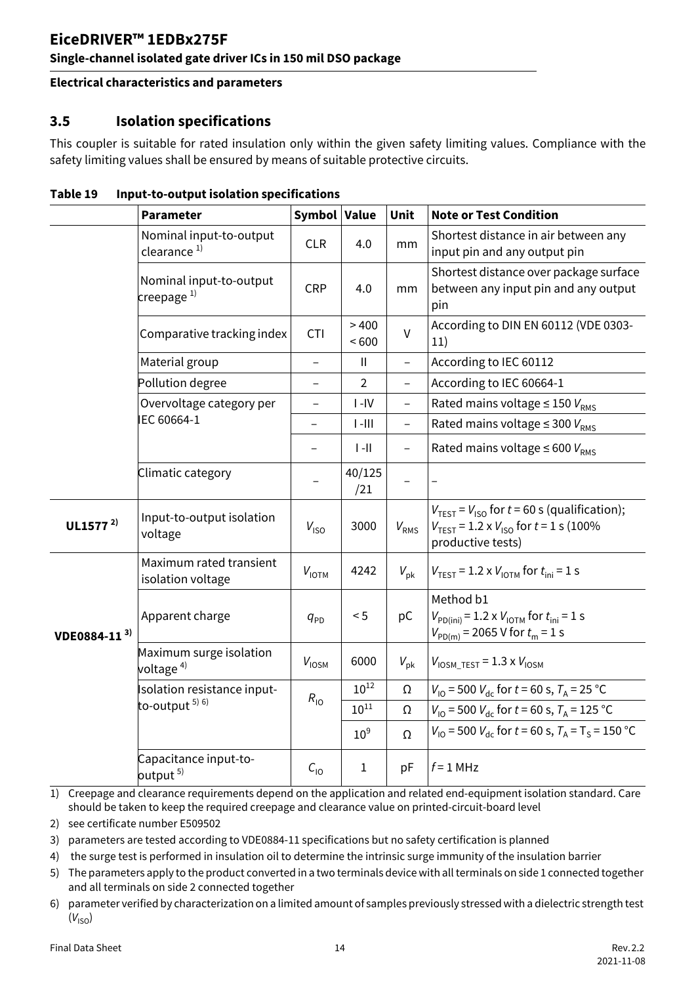#### **EiceDRIVER™ 1EDBx275F Single-channel isolated gate driver ICs in 150 mil DSO package**

#### **Electrical characteristics and parameters**

#### <span id="page-13-0"></span>**3.5 Isolation specifications**

This coupler is suitable for rated insulation only within the given safety limiting values. Compliance with the safety limiting values shall be ensured by means of suitable protective circuits.

<span id="page-13-1"></span>

|                          | <b>Parameter</b>                                   | Symbol Value             |                            | Unit                     | <b>Note or Test Condition</b>                                                                                                                             |
|--------------------------|----------------------------------------------------|--------------------------|----------------------------|--------------------------|-----------------------------------------------------------------------------------------------------------------------------------------------------------|
|                          | Nominal input-to-output<br>clearance <sup>1)</sup> | <b>CLR</b>               | 4.0                        | mm                       | Shortest distance in air between any<br>input pin and any output pin                                                                                      |
|                          | Nominal input-to-output<br>creepage $1$            | <b>CRP</b>               | 4.0                        | mm                       | Shortest distance over package surface<br>between any input pin and any output<br>pin                                                                     |
|                          | Comparative tracking index                         | <b>CTI</b>               | >400<br>~500               | $\vee$                   | According to DIN EN 60112 (VDE 0303-<br>11)                                                                                                               |
|                          | Material group                                     | $\overline{a}$           | $\ensuremath{\mathsf{II}}$ |                          | According to IEC 60112                                                                                                                                    |
|                          | Pollution degree                                   | $\overline{\phantom{0}}$ | $\overline{2}$             | $\overline{\phantom{0}}$ | According to IEC 60664-1                                                                                                                                  |
|                          | Overvoltage category per                           | $\overline{\phantom{0}}$ | $I - IV$                   |                          | Rated mains voltage $\leq$ 150 $V_{RMS}$                                                                                                                  |
|                          | IEC 60664-1                                        | $\overline{a}$           | $\ $ -III                  | $\overline{\phantom{0}}$ | Rated mains voltage $\leq$ 300 $V_{RMS}$                                                                                                                  |
|                          |                                                    | $\overline{\phantom{0}}$ | $\left\  - \right\ $       |                          | Rated mains voltage $\leq 600 V_{RMS}$                                                                                                                    |
|                          | Climatic category                                  |                          | 40/125<br>/21              |                          |                                                                                                                                                           |
| UL1577 $^{2)}$           | Input-to-output isolation<br>voltage               | $V_{\text{ISO}}$         | 3000                       | $V_{RMS}$                | $V_{\text{TEST}} = V_{\text{ISO}}$ for $t = 60$ s (qualification);<br>$V_{\text{TEST}}$ = 1.2 x $V_{\text{ISO}}$ for $t = 1$ s (100%<br>productive tests) |
|                          | Maximum rated transient<br>isolation voltage       | $V_{\text{IOTM}}$        | 4242                       | $V_{\rm pk}$             | $V_{\text{TEST}} = 1.2 \times V_{\text{IOTM}}$ for $t_{\text{ini}} = 1 \text{ s}$                                                                         |
| VDE0884-11 <sup>3)</sup> | Apparent charge                                    | $q_{\text{PD}}$          | < 5                        | pC                       | Method b1<br>$V_{PD(ini)} = 1.2 \times V_{IOTM}$ for $t_{ini} = 1$ s<br>$V_{PD(m)}$ = 2065 V for $t_m$ = 1 s                                              |
|                          | Maximum surge isolation<br>voltage <sup>4)</sup>   | $V_{\text{IOSM}}$        | 6000                       | $V_{\rm pk}$             | $V_{\text{IOSM\_TEST}} = 1.3 \times V_{\text{IOSM}}$                                                                                                      |
|                          | Isolation resistance input-                        | $R_{10}$                 | $10^{12}$                  | Ω                        | $V_{10}$ = 500 $V_{dc}$ for $t$ = 60 s, $T_A$ = 25 °C                                                                                                     |
|                          | to-output $5)$ 6)                                  |                          | $10^{11}$                  | Ω                        | $V_{10}$ = 500 $V_{\text{dc}}$ for $t$ = 60 s, $T_A$ = 125 °C                                                                                             |
|                          |                                                    |                          | 10 <sup>9</sup>            | Ω                        | $V_{10}$ = 500 $V_{\text{dc}}$ for $t$ = 60 s, $T_A$ = T <sub>S</sub> = 150 °C                                                                            |
|                          | Capacitance input-to-<br>output <sup>5)</sup>      | $C_{10}$                 | 1                          | pF                       | $f = 1$ MHz                                                                                                                                               |

#### <span id="page-13-3"></span>**Table 19 Input-to-output isolation specifications**

<span id="page-13-2"></span>1) Creepage and clearance requirements depend on the application and related end-equipment isolation standard. Care should be taken to keep the required creepage and clearance value on printed-circuit-board level

2) see certificate number E509502

- 3) parameters are tested according to VDE0884-11 specifications but no safety certification is planned
- 4) the surge test is performed in insulation oil to determine the intrinsic surge immunity of the insulation barrier
- 5) The parameters apply to the product converted in a two terminals device with all terminals on side 1 connected together and all terminals on side 2 connected together
- 6) parameter verified by characterization on a limited amount of samples previously stressed with a dielectric strength test  $(V_{\text{ISO}})$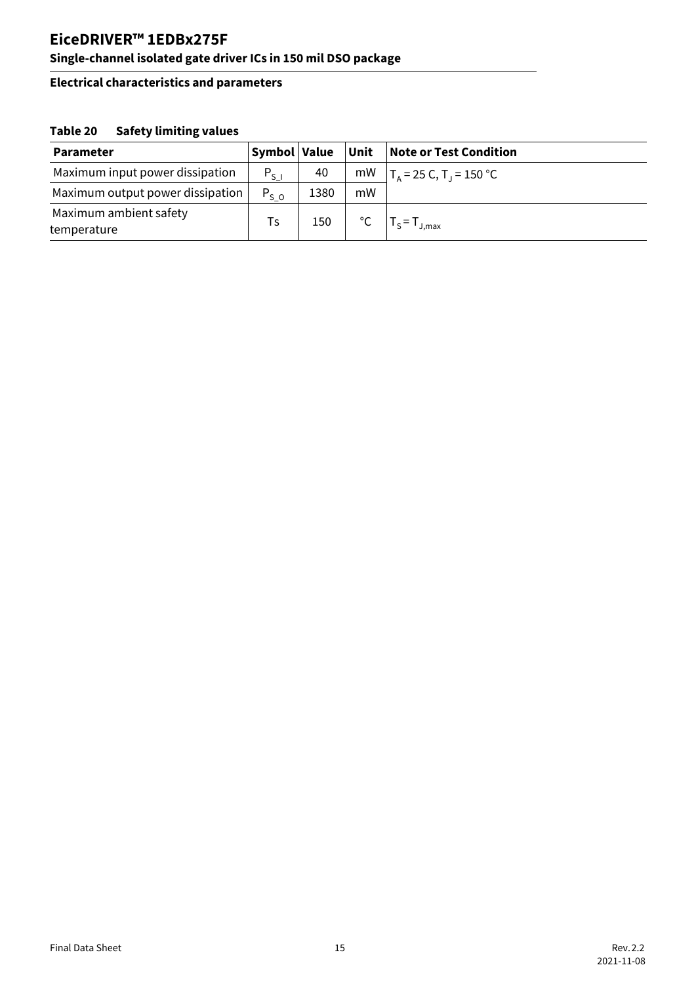#### **Single-channel isolated gate driver ICs in 150 mil DSO package**

#### **Electrical characteristics and parameters**

#### <span id="page-14-0"></span>**Table 20 Safety limiting values**

| <b>Parameter</b>                      | Symbol Value |      | Unit         | <b>Note or Test Condition</b>  |
|---------------------------------------|--------------|------|--------------|--------------------------------|
| Maximum input power dissipation       | $P_{S}$      | 40   |              | mW $ T_A = 25 C, T_J = 150 °C$ |
| Maximum output power dissipation      | $P_{S,0}$    | 1380 | mW           |                                |
| Maximum ambient safety<br>temperature | Ts           | 150  | $^{\circ}$ C | $T_S = T_{J,max}$              |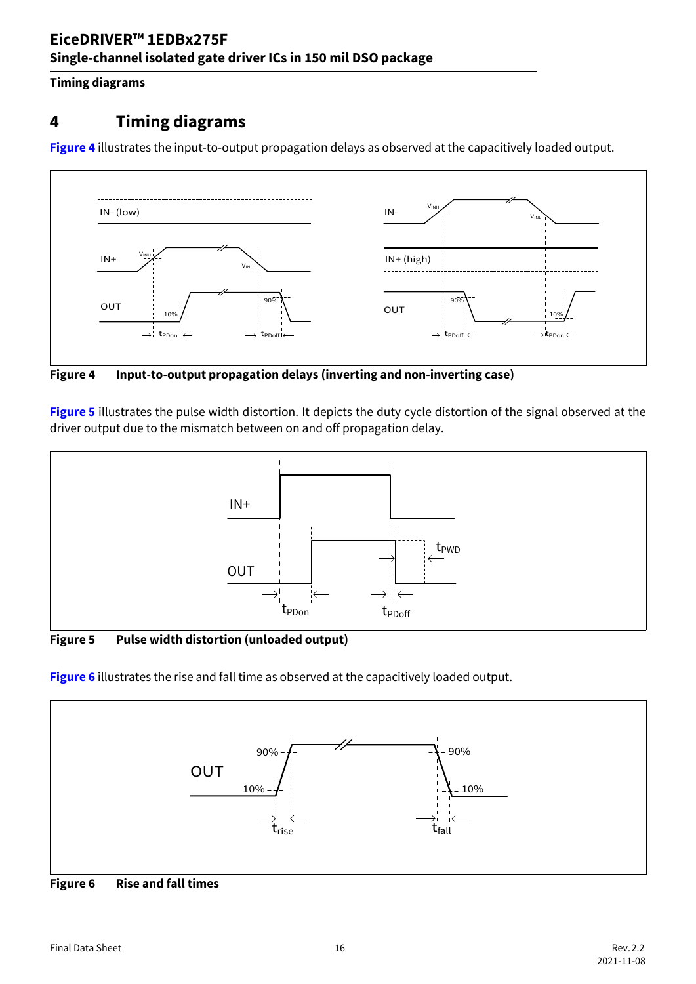#### **Timing diagrams**

## <span id="page-15-0"></span>**4 Timing diagrams**

**[Figure 4](#page-15-4)** illustrates the input-to-output propagation delays as observed at the capacitively loaded output.



<span id="page-15-4"></span><span id="page-15-1"></span>**Figure 4 Input-to-output propagation delays (inverting and non-inverting case)**

**[Figure 5](#page-15-6)** illustrates the pulse width distortion. It depicts the duty cycle distortion of the signal observed at the driver output due to the mismatch between on and off propagation delay.



<span id="page-15-6"></span><span id="page-15-2"></span>**Figure 5 Pulse width distortion (unloaded output)**

**[Figure 6](#page-15-5)** illustrates the rise and fall time as observed at the capacitively loaded output.



<span id="page-15-5"></span><span id="page-15-3"></span>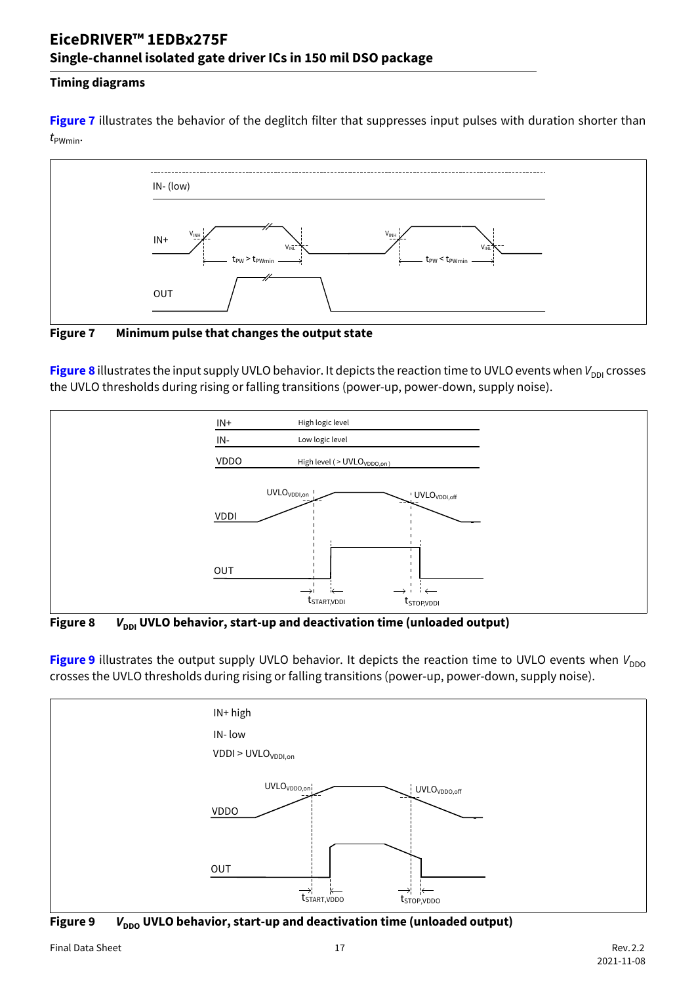### **EiceDRIVER™ 1EDBx275F Single-channel isolated gate driver ICs in 150 mil DSO package**

#### **Timing diagrams**

**[Figure 7](#page-16-3)** illustrates the behavior of the deglitch filter that suppresses input pulses with duration shorter than  $t_{\text{PWmin}}$ 



<span id="page-16-3"></span><span id="page-16-0"></span>**Figure 7 Minimum pulse that changes the output state**

[Figure 8](#page-16-4) illustrates the input supply UVLO behavior. It depicts the reaction time to UVLO events when V<sub>DDI</sub> crosses the UVLO thresholds during rising or falling transitions (power-up, power-down, supply noise).



<span id="page-16-4"></span><span id="page-16-1"></span>Figure 8 *V*<sub>DDI</sub> UVLO behavior, start-up and deactivation time (unloaded output)

**[Figure 9](#page-16-5)** illustrates the output supply UVLO behavior. It depicts the reaction time to UVLO events when  $V_{DDO}$ crosses the UVLO thresholds during rising or falling transitions (power-up, power-down, supply noise).



<span id="page-16-5"></span><span id="page-16-2"></span>Figure 9 *V*<sub>DDO</sub> UVLO behavior, start-up and deactivation time (unloaded output)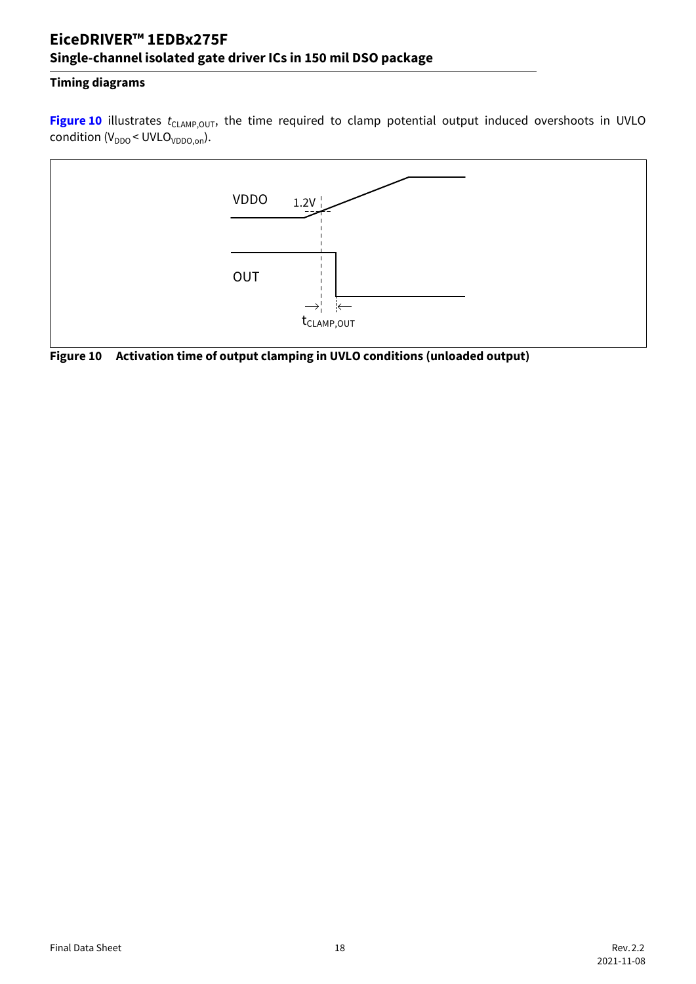### **EiceDRIVER™ 1EDBx275F Single-channel isolated gate driver ICs in 150 mil DSO package**

#### **Timing diagrams**

[Figure 10](#page-17-1) illustrates *t<sub>CLAMP,OUT</sub>*, the time required to clamp potential output induced overshoots in UVLO condition  $(V_{DDO} < UVLO_{VDDO,on})$ .



<span id="page-17-1"></span><span id="page-17-0"></span>**Figure 10 Activation time of output clamping in UVLO conditions (unloaded output)**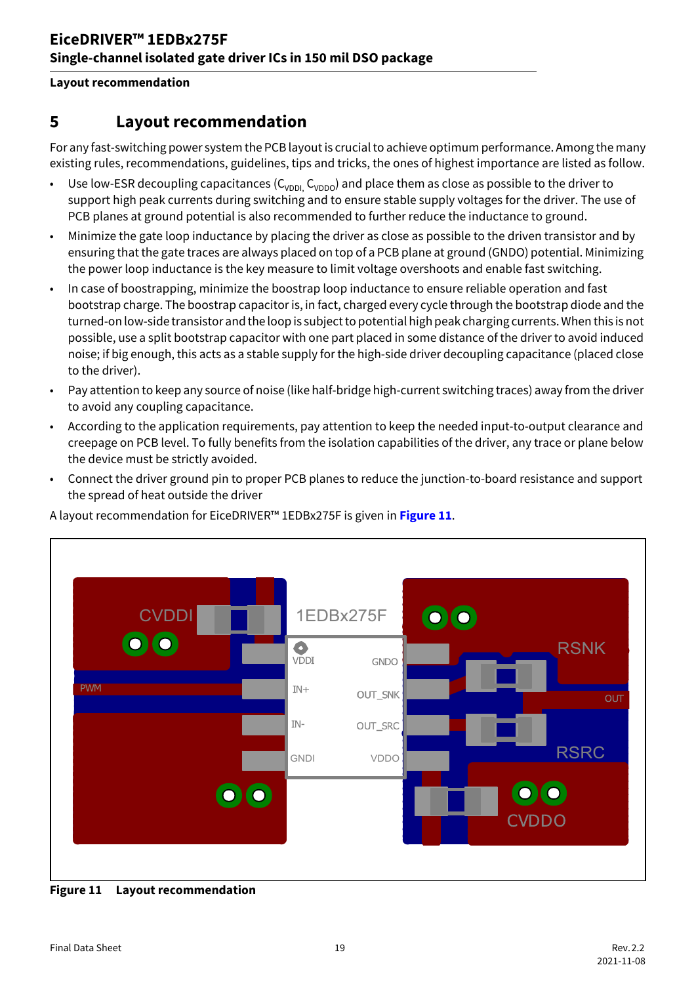#### **Layout recommendation**

### <span id="page-18-0"></span>**5 Layout recommendation**

For any fast-switching power system the PCB layout is crucial to achieve optimum performance. Among the many existing rules, recommendations, guidelines, tips and tricks, the ones of highest importance are listed as follow.

- Use low-ESR decoupling capacitances ( $C_{\text{VDDL}} C_{\text{VDDO}}$ ) and place them as close as possible to the driver to support high peak currents during switching and to ensure stable supply voltages for the driver. The use of PCB planes at ground potential is also recommended to further reduce the inductance to ground.
- Minimize the gate loop inductance by placing the driver as close as possible to the driven transistor and by ensuring that the gate traces are always placed on top of a PCB plane at ground (GNDO) potential. Minimizing the power loop inductance is the key measure to limit voltage overshoots and enable fast switching.
- In case of boostrapping, minimize the boostrap loop inductance to ensure reliable operation and fast bootstrap charge. The boostrap capacitor is, in fact, charged every cycle through the bootstrap diode and the turned-on low-side transistor and the loop is subject to potential high peak charging currents. When this is not possible, use a split bootstrap capacitor with one part placed in some distance of the driver to avoid induced noise; if big enough, this acts as a stable supply for the high-side driver decoupling capacitance (placed close to the driver).
- Pay attention to keep any source of noise (like half-bridge high-current switching traces) away from the driver to avoid any coupling capacitance.
- According to the application requirements, pay attention to keep the needed input-to-output clearance and creepage on PCB level. To fully benefits from the isolation capabilities of the driver, any trace or plane below the device must be strictly avoided.
- Connect the driver ground pin to proper PCB planes to reduce the junction-to-board resistance and support the spread of heat outside the driver

A layout recommendation for EiceDRIVER™ 1EDBx275F is given in **[Figure 11](#page-18-1)**.



<span id="page-18-2"></span><span id="page-18-1"></span>**Figure 11 Layout recommendation**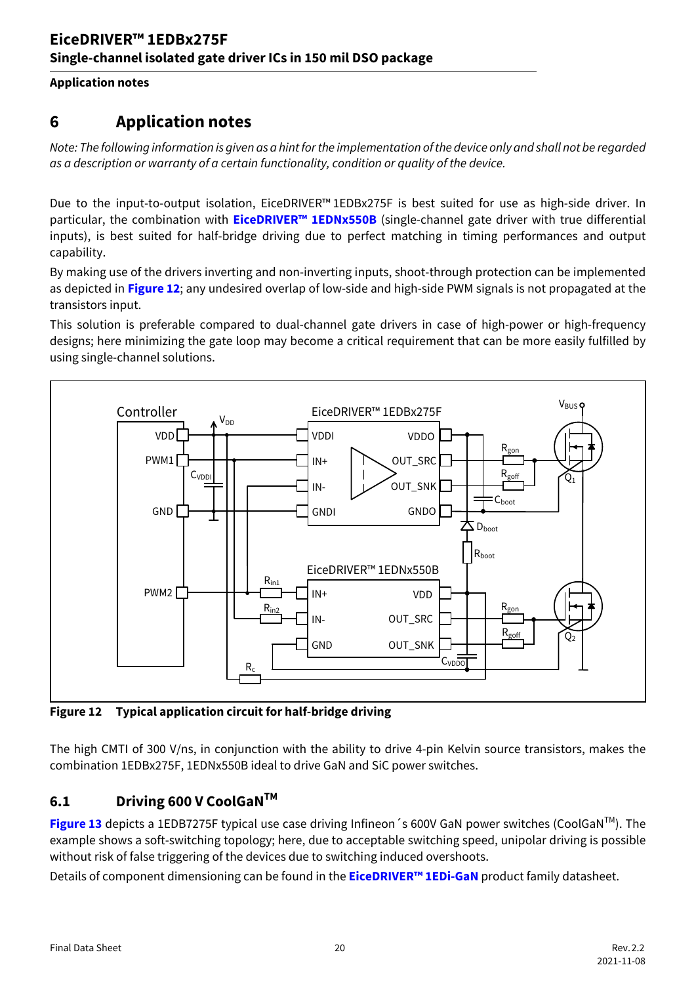**Application notes**

### <span id="page-19-0"></span>**6 Application notes**

*Note: The following information is given as a hint for the implementation of the device only and shall not be regarded as a description or warranty of a certain functionality, condition or quality of the device.*

Due to the input-to-output isolation, EiceDRIVER™ 1EDBx275F is best suited for use as high-side driver. In particular, the combination with **EiceDRIVER<sup>™</sup> 1EDNx550B** (single-channel gate driver with true differential inputs), is best suited for half-bridge driving due to perfect matching in timing performances and output capability.

By making use of the drivers inverting and non-inverting inputs, shoot-through protection can be implemented as depicted in **[Figure 12](#page-19-2)**; any undesired overlap of low-side and high-side PWM signals is not propagated at the transistors input.

This solution is preferable compared to dual-channel gate drivers in case of high-power or high-frequency designs; here minimizing the gate loop may become a critical requirement that can be more easily fulfilled by using single-channel solutions.



<span id="page-19-2"></span>**Figure 12 Typical application circuit for half-bridge driving**

The high CMTI of 300 V/ns, in conjunction with the ability to drive 4-pin Kelvin source transistors, makes the combination 1EDBx275F, 1EDNx550B ideal to drive GaN and SiC power switches.

### <span id="page-19-1"></span>**6.1 Driving 600 V CoolGaNTM**

**[Figure 13](#page-20-1)** depicts a 1EDB7275F typical use case driving Infineon 's 600V GaN power switches (CoolGaN™). The example shows a soft-switching topology; here, due to acceptable switching speed, unipolar driving is possible without risk of false triggering of the devices due to switching induced overshoots.

Details of component dimensioning can be found in the **[EiceDRIVER™ 1EDi-GaN](https://www.infineon.com/dgdl/Infineon-1EDN7550B-DS-v02_00-EN.pdf?fileId=5546d46262b31d2e01635d9799ef264f)** product family datasheet.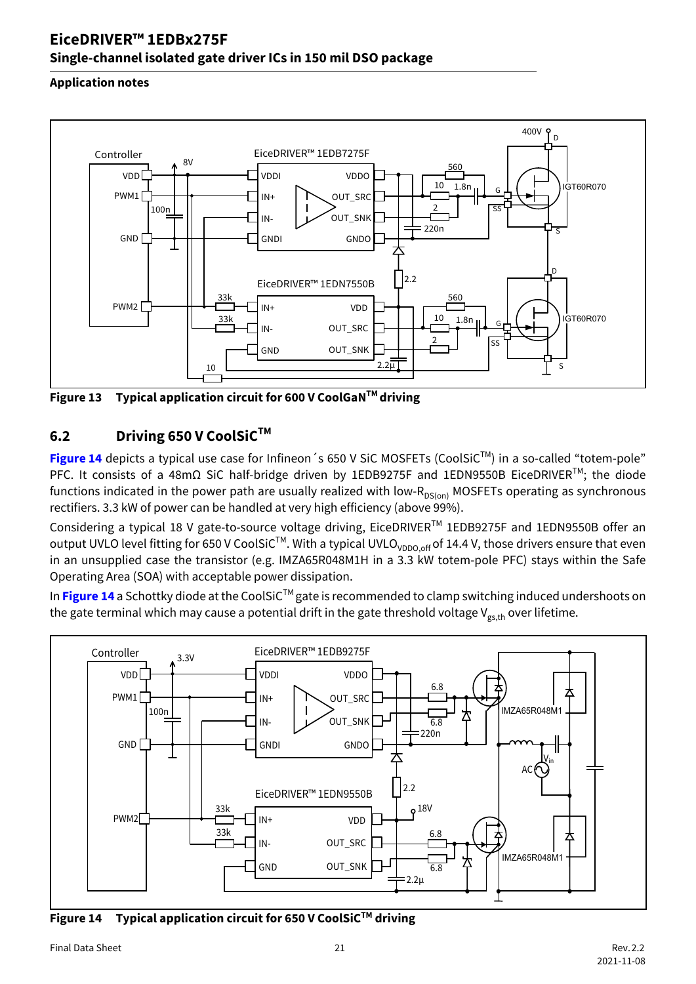### **EiceDRIVER™ 1EDBx275F Single-channel isolated gate driver ICs in 150 mil DSO package**

#### **Application notes**



<span id="page-20-1"></span>**Figure 13 Typical application circuit for 600 V CoolGaNTM driving**

#### <span id="page-20-0"></span>**6.2 Driving 650 V CoolSiCTM**

**[Figure 14](#page-20-2)** depicts a typical use case for Infineon 's 650 V SiC MOSFETs (CoolSiC™) in a so-called "totem-pole" PFC. It consists of a 48mΩ SiC half-bridge driven by 1EDB9275F and 1EDN9550B EiceDRIVER<sup>™</sup>; the diode functions indicated in the power path are usually realized with low- $R_{DS(00)}$  MOSFETs operating as synchronous rectifiers. 3.3 kW of power can be handled at very high efficiency (above 99%).

Considering a typical 18 V gate-to-source voltage driving, EiceDRIVERTM 1EDB9275F and 1EDN9550B offer an output UVLO level fitting for 650 V CoolSiC<sup>TM</sup>. With a typical UVLO<sub>VDDO.off</sub> of 14.4 V, those drivers ensure that even in an unsupplied case the transistor (e.g. IMZA65R048M1H in a 3.3 kW totem-pole PFC) stays within the Safe Operating Area (SOA) with acceptable power dissipation.

In [Figure 14](#page-20-2) a Schottky diode at the CoolSiC<sup>™</sup> gate is recommended to clamp switching induced undershoots on the gate terminal which may cause a potential drift in the gate threshold voltage V<sub>gs,th</sub> over lifetime.



<span id="page-20-3"></span><span id="page-20-2"></span>**Figure 14 Typical application circuit for 650 V CoolSiCTM driving**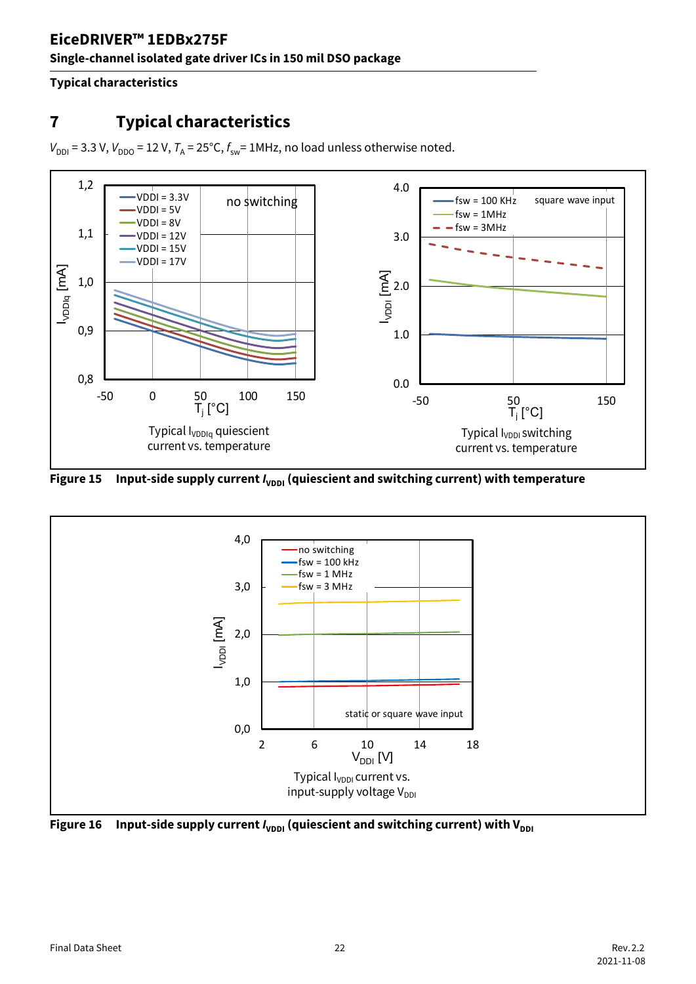#### **Typical characteristics**

# <span id="page-21-0"></span>**7 Typical characteristics**

 $V_{\text{DDI}} = 3.3 \text{ V}$ ,  $V_{\text{DDO}} = 12 \text{ V}$ ,  $T_A = 25 \text{°C}$ ,  $f_{\text{sw}} = 1 \text{MHz}$ , no load unless otherwise noted.



<span id="page-21-2"></span>Figure 15 Input-side supply current *I*<sub>VDDI</sub> (quiescient and switching current) with temperature



<span id="page-21-1"></span>**Figure 16** Input-side supply current  $I_{\text{VDDI}}$  (quiescient and switching current) with V<sub>DDI</sub>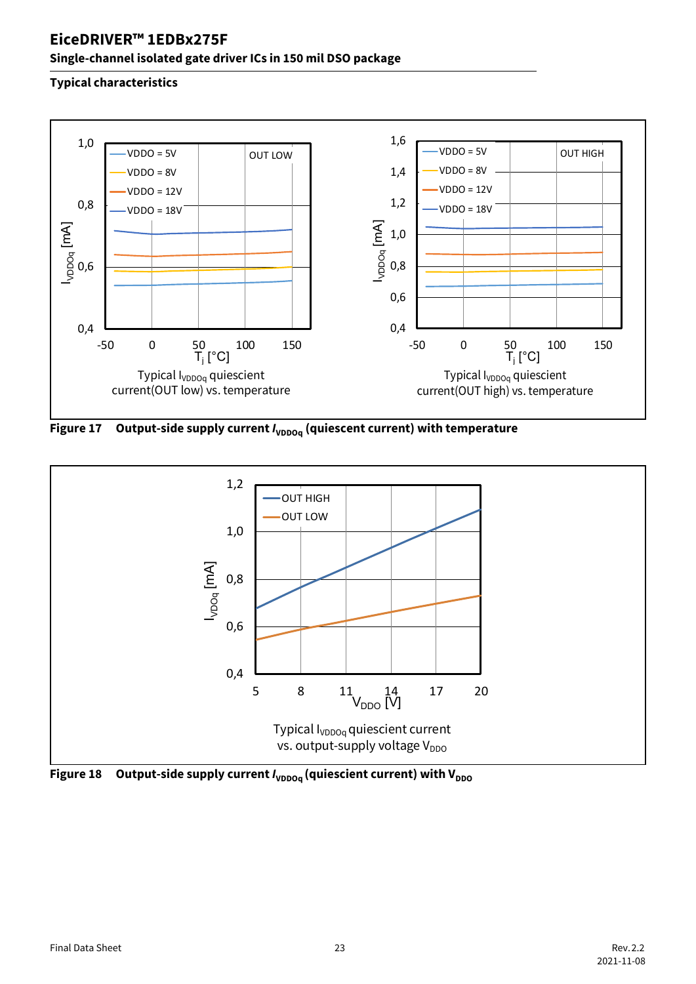### **Single-channel isolated gate driver ICs in 150 mil DSO package**



<span id="page-22-0"></span>Figure 17 Output-side supply current *I*<sub>VDDOq</sub> (quiescent current) with temperature



<span id="page-22-1"></span>**Figure 18** Output-side supply current  $I_{\text{VDDOa}}$  (quiescient current) with V<sub>DDO</sub>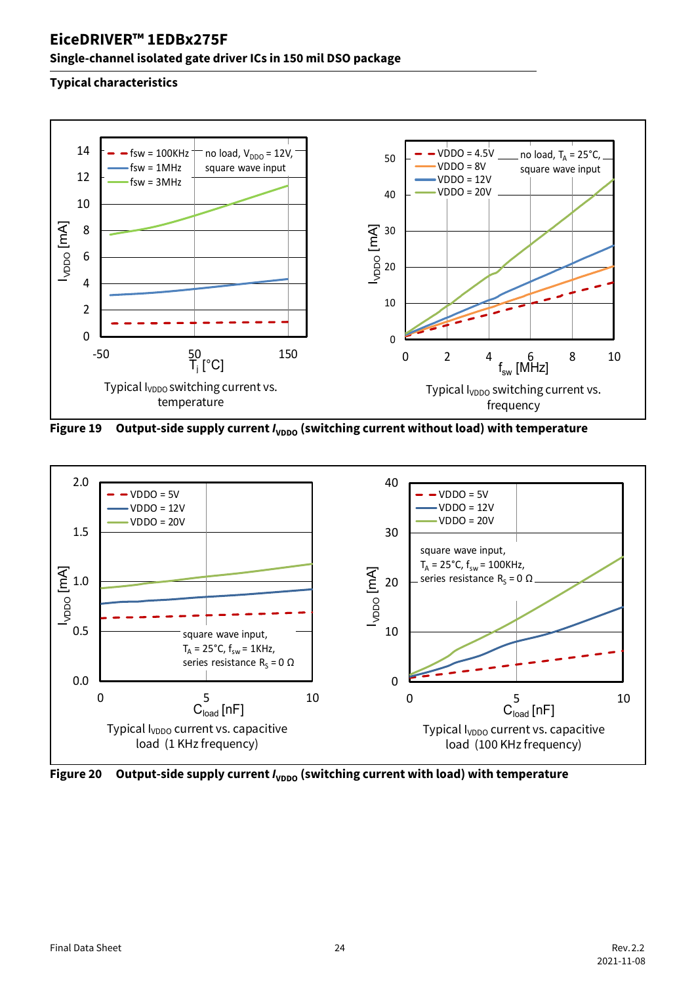### **Single-channel isolated gate driver ICs in 150 mil DSO package**



Figure 19 Output-side supply current *I*<sub>VDDO</sub> (switching current without load) with temperature



Figure 20 Output-side supply current *I*<sub>VDDO</sub> (switching current with load) with temperature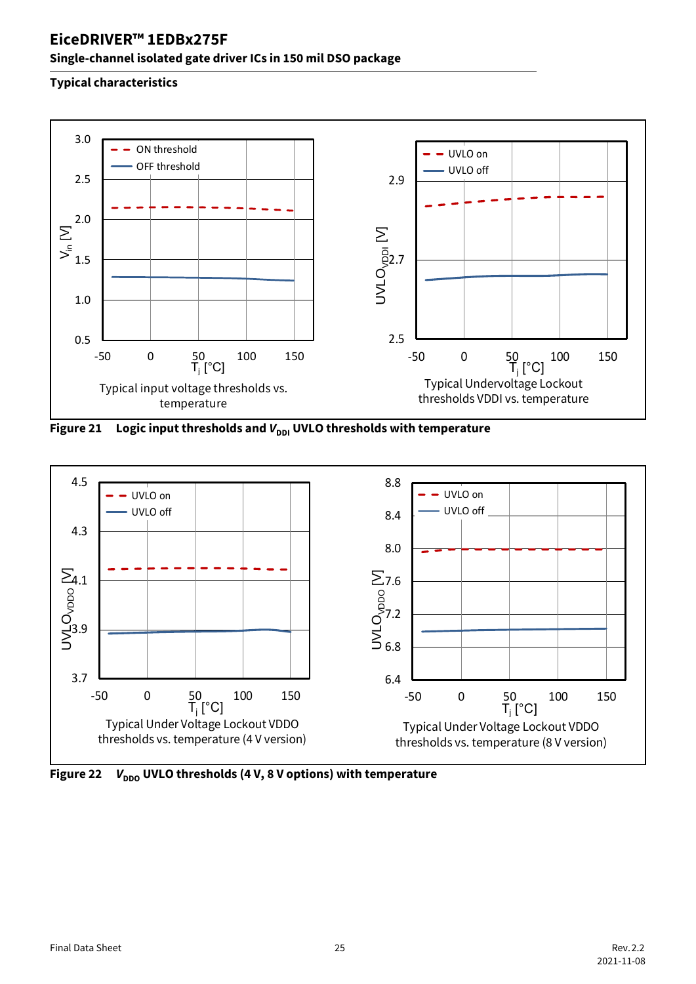### **Single-channel isolated gate driver ICs in 150 mil DSO package**



**Figure 21** Logic input thresholds and  $V_{\text{DDI}}$  UVLO thresholds with temperature



**Figure 22** *V*<sub>DDO</sub> UVLO thresholds (4 V, 8 V options) with temperature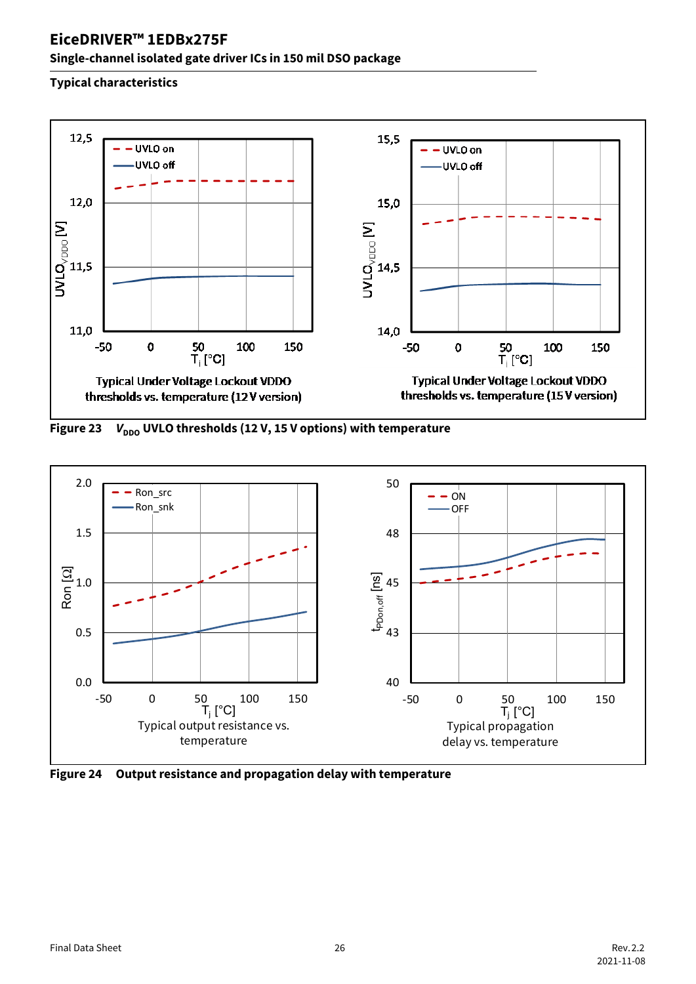### **Single-channel isolated gate driver ICs in 150 mil DSO package**



<span id="page-25-0"></span>**Figure 23** *V*<sub>DDO</sub> UVLO thresholds (12 V, 15 V options) with temperature



**Figure 24 Output resistance and propagation delay with temperature**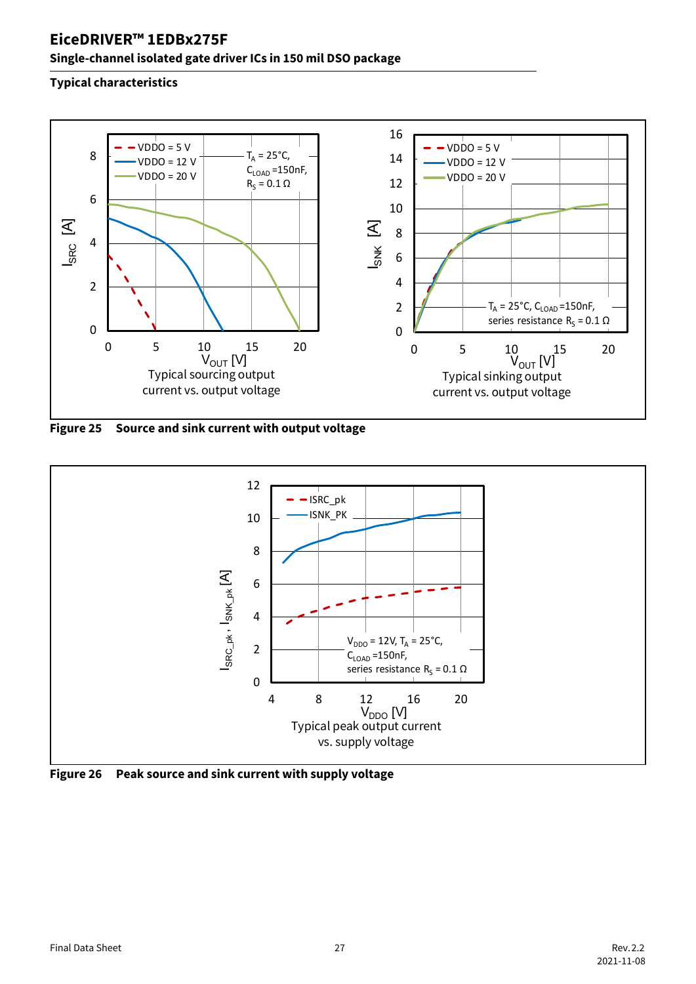### **Single-channel isolated gate driver ICs in 150 mil DSO package**



<span id="page-26-0"></span>**Figure 25 Source and sink current with output voltage**



<span id="page-26-1"></span>**Figure 26 Peak source and sink current with supply voltage**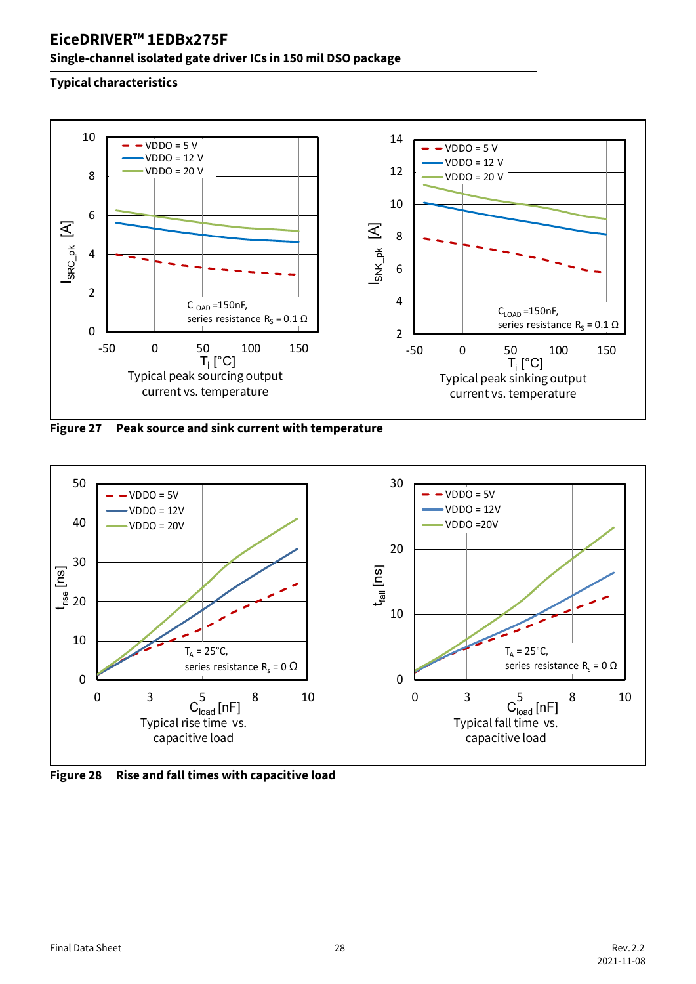#### **Single-channel isolated gate driver ICs in 150 mil DSO package**



**Figure 27 Peak source and sink current with temperature**



**Figure 28 Rise and fall times with capacitive load**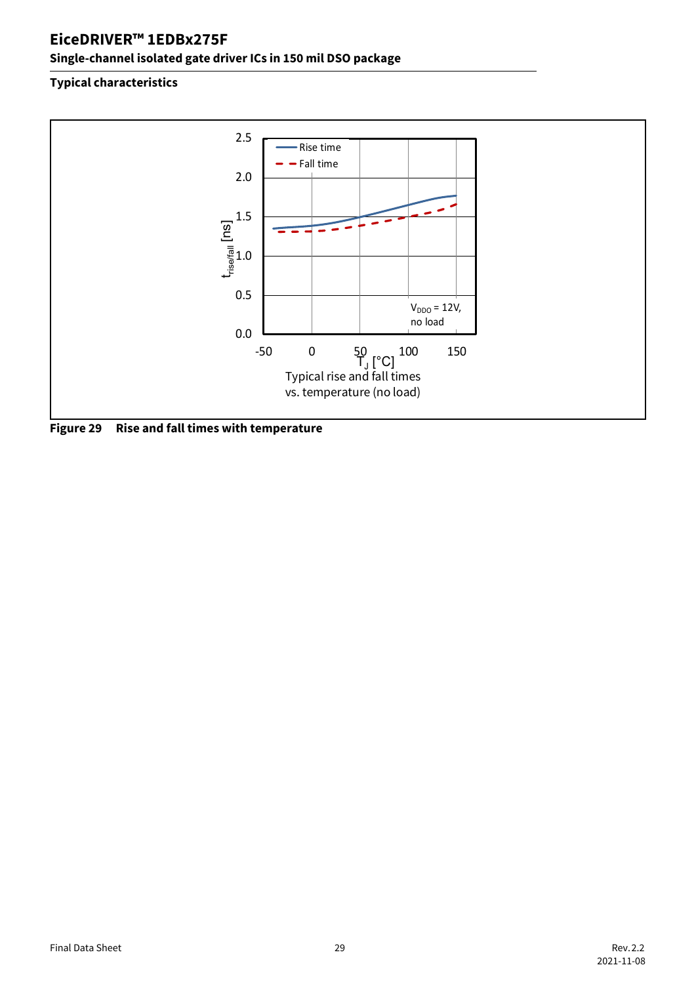### **Single-channel isolated gate driver ICs in 150 mil DSO package**



**Figure 29 Rise and fall times with temperature**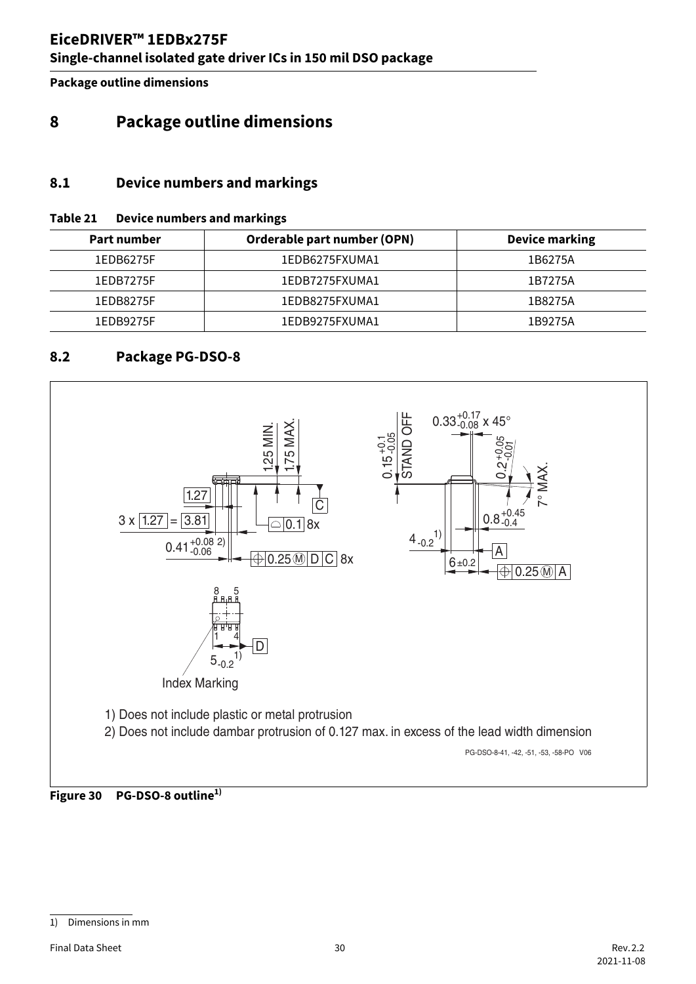**Package outline dimensions**

### <span id="page-29-3"></span><span id="page-29-0"></span>**8 Package outline dimensions**

#### <span id="page-29-1"></span>**8.1 Device numbers and markings**

#### <span id="page-29-4"></span>**Table 21 Device numbers and markings**

| Part number | Orderable part number (OPN) | <b>Device marking</b> |
|-------------|-----------------------------|-----------------------|
| 1EDB6275F   | 1EDB6275FXUMA1              | 1B6275A               |
| 1EDB7275F   | 1EDB7275FXUMA1              | 1B7275A               |
| 1EDB8275F   | 1EDB8275FXUMA1              | 1B8275A               |
| 1EDB9275F   | 1EDB9275FXUMA1              | 1B9275A               |

#### <span id="page-29-2"></span>**8.2 Package PG-DSO-8**





<sup>1)</sup> Dimensions in mm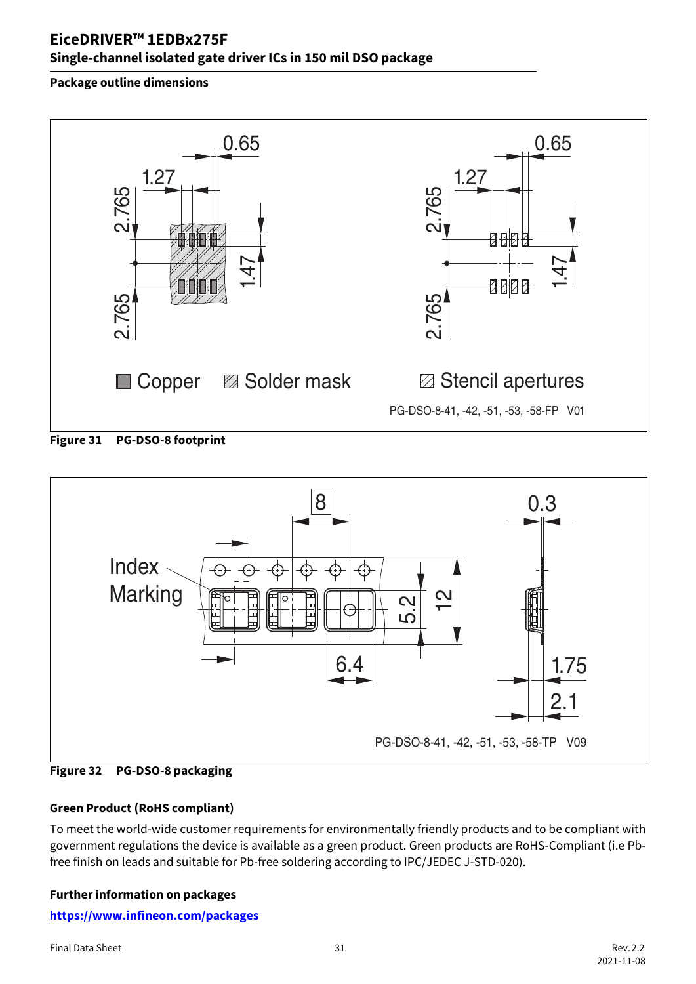### **EiceDRIVER™ 1EDBx275F Single-channel isolated gate driver ICs in 150 mil DSO package**

#### **Package outline dimensions**



**Figure 31 PG-DSO-8 footprint**



**Figure 32 PG-DSO-8 packaging**

#### **Green Product (RoHS compliant)**

To meet the world-wide customer requirements for environmentally friendly products and to be compliant with government regulations the device is available as a green product. Green products are RoHS-Compliant (i.e Pbfree finish on leads and suitable for Pb-free soldering according to IPC/JEDEC J-STD-020).

#### **Further information on packages**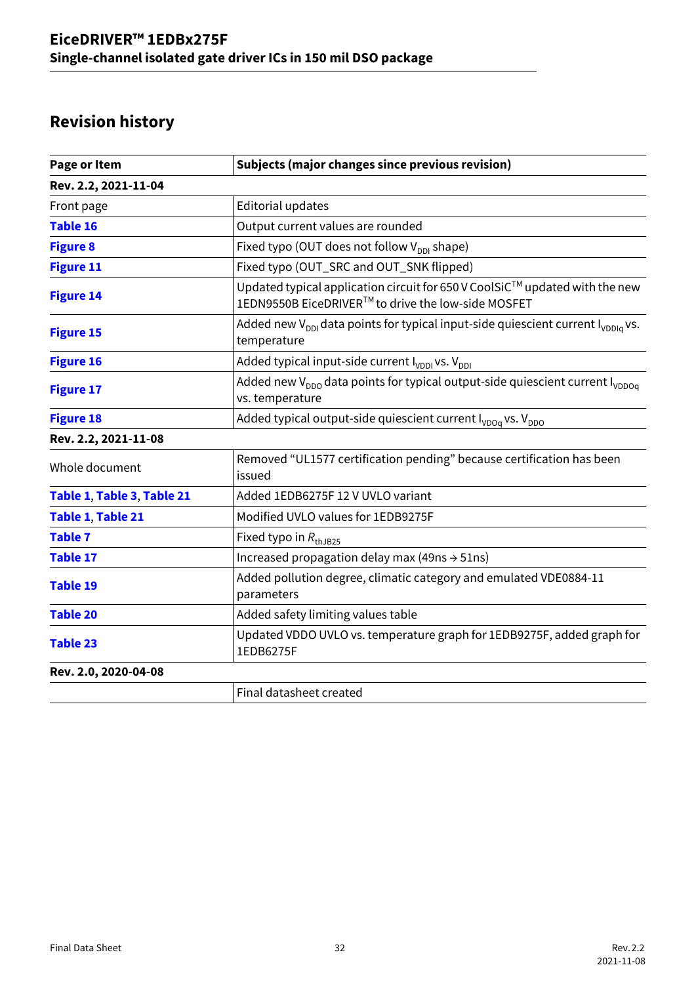# **Revision history**

| Page or Item               | <b>Subjects (major changes since previous revision)</b>                                                                           |
|----------------------------|-----------------------------------------------------------------------------------------------------------------------------------|
| Rev. 2.2, 2021-11-04       |                                                                                                                                   |
| Front page                 | <b>Editorial updates</b>                                                                                                          |
| <b>Table 16</b>            | Output current values are rounded                                                                                                 |
| <b>Figure 8</b>            | Fixed typo (OUT does not follow V <sub>DDI</sub> shape)                                                                           |
| <b>Figure 11</b>           | Fixed typo (OUT_SRC and OUT_SNK flipped)                                                                                          |
| <b>Figure 14</b>           | Updated typical application circuit for 650 V CoolSiC™ updated with the new<br>1EDN9550B EiceDRIVER™ to drive the low-side MOSFET |
| <b>Figure 15</b>           | Added new V <sub>DDI</sub> data points for typical input-side quiescient current I <sub>VDDIa</sub> vs.<br>temperature            |
| <b>Figure 16</b>           | Added typical input-side current $I_{VDDI}$ vs. $V_{DDI}$                                                                         |
| <b>Figure 17</b>           | Added new V <sub>DDO</sub> data points for typical output-side quiescient current I <sub>VDDOa</sub><br>vs. temperature           |
| <b>Figure 18</b>           | Added typical output-side quiescient current I <sub>VDOq</sub> vs. V <sub>DDO</sub>                                               |
| Rev. 2.2, 2021-11-08       |                                                                                                                                   |
| Whole document             | Removed "UL1577 certification pending" because certification has been<br>issued                                                   |
| Table 1, Table 3, Table 21 | Added 1EDB6275F 12 V UVLO variant                                                                                                 |
| Table 1, Table 21          | Modified UVLO values for 1EDB9275F                                                                                                |
| <b>Table 7</b>             | Fixed typo in $R_{thJB25}$                                                                                                        |
| <b>Table 17</b>            | Increased propagation delay max (49ns $\rightarrow$ 51ns)                                                                         |
| <b>Table 19</b>            | Added pollution degree, climatic category and emulated VDE0884-11<br>parameters                                                   |
| <b>Table 20</b>            | Added safety limiting values table                                                                                                |
| <b>Table 23</b>            | Updated VDDO UVLO vs. temperature graph for 1EDB9275F, added graph for<br>1EDB6275F                                               |
| Rev. 2.0, 2020-04-08       |                                                                                                                                   |
|                            | Final datasheet created                                                                                                           |